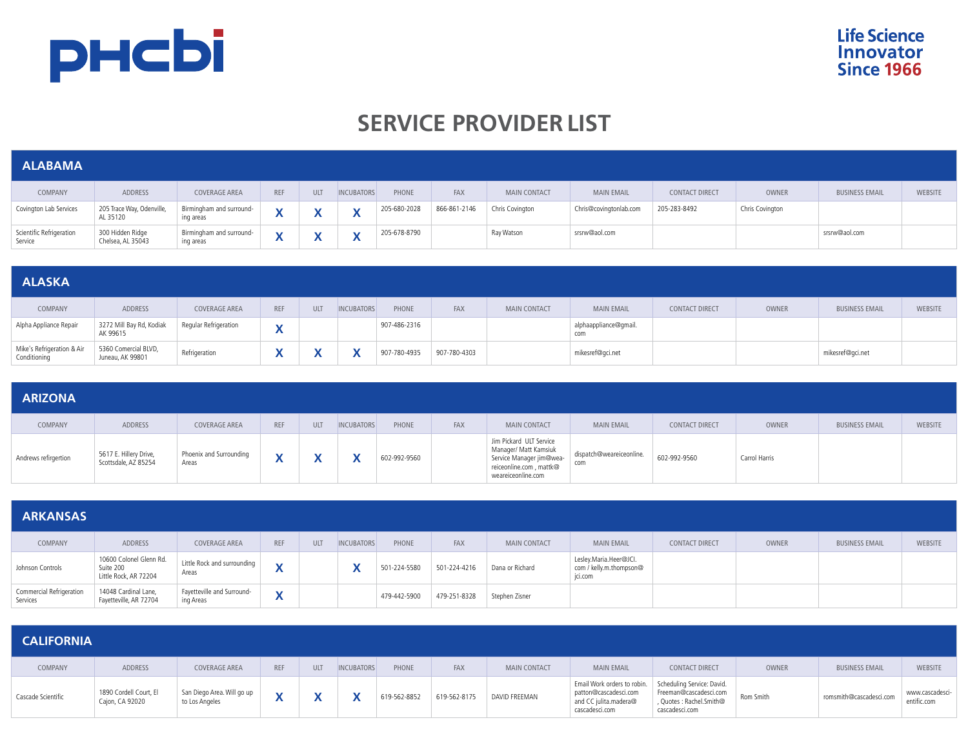

# **SERVICE PROVIDER LIST**

| <b>ALABAMA</b>                      |                                       |                                       |            |              |                                                       |              |              |                     |                        |                       |                 |                       |         |
|-------------------------------------|---------------------------------------|---------------------------------------|------------|--------------|-------------------------------------------------------|--------------|--------------|---------------------|------------------------|-----------------------|-----------------|-----------------------|---------|
| COMPANY                             | ADDRESS                               | COVERAGE AREA                         | <b>REF</b> | <b>ULT</b>   | <b>INCUBATORS</b>                                     | PHONE        | FAX          | <b>MAIN CONTACT</b> | <b>MAIN EMAIL</b>      | <b>CONTACT DIRECT</b> | <b>OWNER</b>    | <b>BUSINESS EMAIL</b> | WEBSITE |
| Covington Lab Services              | 205 Trace Way, Odenville,<br>AL 35120 | Birmingham and surround-<br>ing areas |            | v<br>Λ       | $\overline{\mathbf{v}}$<br>$\boldsymbol{\mathcal{L}}$ | 205-680-2028 | 866-861-2146 | Chris Covington     | Chris@covingtonlab.com | 205-283-8492          | Chris Covington |                       |         |
| Scientific Refrigeration<br>Service | 300 Hidden Ridge<br>Chelsea, AL 35043 | Birmingham and surround-<br>ing areas |            | $\checkmark$ | $\mathbf{v}$<br>$\sqrt{ }$                            | 205-678-8790 |              | Ray Watson          | srsrw@aol.com          |                       |                 | srsrw@aol.com         |         |

| <b>ALASKA</b>                              |                                          |                       |                          |     |                   |              |              |                     |                              |                       |       |                       |         |
|--------------------------------------------|------------------------------------------|-----------------------|--------------------------|-----|-------------------|--------------|--------------|---------------------|------------------------------|-----------------------|-------|-----------------------|---------|
| COMPANY                                    | ADDRESS                                  | COVERAGE AREA         | <b>REF</b>               | ULT | <b>INCUBATORS</b> | PHONE        | FAX          | <b>MAIN CONTACT</b> | <b>MAIN EMAIL</b>            | <b>CONTACT DIRECT</b> | OWNER | <b>BUSINESS EMAIL</b> | WEBSITE |
| Alpha Appliance Repair                     | 3272 Mill Bay Rd, Kodiak<br>AK 99615     | Regular Refrigeration | $\overline{\phantom{a}}$ |     |                   | 907-486-2316 |              |                     | alphaappliance@gmail.<br>com |                       |       |                       |         |
| Mike's Refrigeration & Air<br>Conditioning | 5360 Comercial BLVD,<br>Juneau, AK 99801 | Refrigeration         |                          |     |                   | 907-780-4935 | 907-780-4303 |                     | mikesref@gci.net             |                       |       | mikesref@qci.net      |         |

| <b>ARIZONA</b>       |                                                |                                  |                 |     |                   |              |                                                                                                                               |                                 |                       |               |                       |                |
|----------------------|------------------------------------------------|----------------------------------|-----------------|-----|-------------------|--------------|-------------------------------------------------------------------------------------------------------------------------------|---------------------------------|-----------------------|---------------|-----------------------|----------------|
| COMPANY              | <b>ADDRESS</b>                                 | COVERAGE AREA                    | REF             | ULT | <b>INCUBATORS</b> | PHONE<br>FAX | <b>MAIN CONTACT</b>                                                                                                           | <b>MAIN EMAIL</b>               | <b>CONTACT DIRECT</b> | OWNER         | <b>BUSINESS EMAIL</b> | <b>WEBSITE</b> |
| Andrews refirgertion | 5617 E. Hillery Drive,<br>Scottsdale, AZ 85254 | Phoenix and Surrounding<br>Areas | M<br>$\sqrt{ }$ |     |                   | 602-992-9560 | Jim Pickard ULT Service<br>Manager/ Matt Kamsiuk<br>Service Manager jim@wea-<br>reiceonline.com, mattk@<br>weareiceonline.com | dispatch@weareiceonline.<br>com | 602-992-9560          | Carrol Harris |                       |                |

| <b>ARKANSAS</b>                      |                                                               |                                         |                                        |     |                           |              |              |                     |                                                              |                       |              |                       |         |
|--------------------------------------|---------------------------------------------------------------|-----------------------------------------|----------------------------------------|-----|---------------------------|--------------|--------------|---------------------|--------------------------------------------------------------|-----------------------|--------------|-----------------------|---------|
| COMPANY                              | ADDRESS                                                       | COVERAGE AREA                           | <b>REF</b>                             | ULT | <b>INCUBATORS</b>         | PHONE        | <b>FAX</b>   | <b>MAIN CONTACT</b> | <b>MAIN EMAIL</b>                                            | <b>CONTACT DIRECT</b> | <b>OWNER</b> | <b>BUSINESS EMAIL</b> | WEBSITE |
| Johnson Controls                     | 10600 Colonel Glenn Rd.<br>Suite 200<br>Little Rock, AR 72204 | Little Rock and surrounding<br>Areas    | $\overline{\phantom{a}}$<br>$\sqrt{ }$ |     | $\mathbf{v}$<br>$\lambda$ | 501-224-5580 | 501-224-4216 | Dana or Richard     | Lesley.Maria.Heer@JCI.<br>com / kelly.m.thompson@<br>jci.com |                       |              |                       |         |
| Commercial Refrigeration<br>Services | 14048 Cardinal Lane,<br>Fayetteville, AR 72704                | Fayetteville and Surround-<br>ing Areas | $\overline{\phantom{a}}$               |     |                           | 479-442-5900 | 479-251-8328 | Stephen Zisner      |                                                              |                       |              |                       |         |

| <b>CALIFORNIA</b>  |                                           |                                              |            |            |                   |              |              |                     |                                                                                                                            |                                                                     |              |                         |                                |
|--------------------|-------------------------------------------|----------------------------------------------|------------|------------|-------------------|--------------|--------------|---------------------|----------------------------------------------------------------------------------------------------------------------------|---------------------------------------------------------------------|--------------|-------------------------|--------------------------------|
| COMPANY            | ADDRESS                                   | <b>COVERAGE AREA</b>                         | <b>REF</b> | <b>ULT</b> | <b>INCUBATORS</b> | PHONE        | <b>FAX</b>   | <b>MAIN CONTACT</b> | <b>MAIN EMAIL</b>                                                                                                          | <b>CONTACT DIRECT</b>                                               | <b>OWNER</b> | <b>BUSINESS EMAIL</b>   | WEBSITE                        |
| Cascade Scientific | 1890 Cordell Court, El<br>Cajon, CA 92020 | San Diego Area. Will go up<br>to Los Angeles |            |            |                   | 619-562-8852 | 619-562-8175 | DAVID FREEMAN       | Email Work orders to robin. Scheduling Service: David.<br>patton@cascadesci.com<br>and CC julita.madera@<br>cascadesci.com | Freeman@cascadesci.com<br>, Quotes: Rachel.Smith@<br>cascadesci.com | Rom Smith    | romsmith@cascadesci.com | www.cascadesci-<br>entific.com |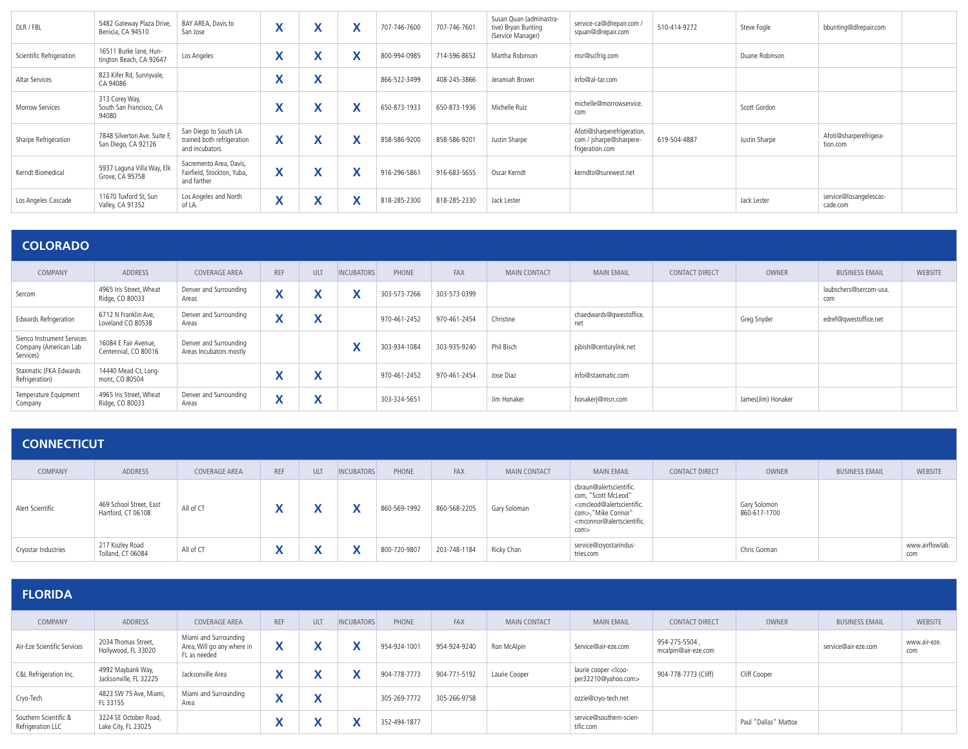| DLR / FBL                | 5482 Gateway Plaza Drive,<br>Benicia, CA 94510      | BAY AREA, Davis to<br>San Jose                                        | $\overline{\phantom{a}}$<br>$\mathbf{\Lambda}$ | v<br>$\mathbf{v}$                         | $\boldsymbol{\mathsf{A}}$    | 707-746-7600 | 707-746-7601 | Susan Quan (adminastra-<br>tive) Bryan Bunting<br>(Service Manager) | service-ca@dlrepair.com /<br>squan@dlrepair.com                          | 510-414-9272 | Steve Fogle    | bbunting@dlrepair.com              |  |
|--------------------------|-----------------------------------------------------|-----------------------------------------------------------------------|------------------------------------------------|-------------------------------------------|------------------------------|--------------|--------------|---------------------------------------------------------------------|--------------------------------------------------------------------------|--------------|----------------|------------------------------------|--|
| Scientific Refrigeration | 16511 Burke lane. Hun-<br>tington Beach, CA 92647   | Los Angeles                                                           | $\mathbf{v}$                                   | v<br>$\boldsymbol{\mathsf{A}}$            | $\mathbf{v}$                 | 800-994-0985 | 714-596-8652 | Martha Robinson                                                     | msr@scifrig.com                                                          |              | Duane Robinson |                                    |  |
| Altar Services           | 823 Kifer Rd, Sunnyvale,<br>CA 94086                |                                                                       | $\overline{\phantom{a}}$                       | $\overline{\phantom{a}}$<br>́             |                              | 866-522-3499 | 408-245-3866 | Jeramiah Brown                                                      | info@al-tar.com                                                          |              |                |                                    |  |
| Morrow Services          | 313 Corey Way,<br>South San Francisco, CA<br>94080  |                                                                       | $\mathbf{v}$                                   | v<br>$\overline{\phantom{a}}$             |                              | 650-873-1933 | 650-873-1936 | Michelle Ruiz                                                       | michelle@morrowservice.<br>com                                           |              | Scott Gordon   |                                    |  |
| Sharpe Refrigeration     | 7848 Silverton Ave. Suite F,<br>San Diego, CA 92126 | San Diego to South LA<br>trained both refrigeration<br>and incubators | $\mathbf v$<br>$\mathbf{v}$                    | $\checkmark$<br>$\overline{\phantom{a}}$  |                              | 858-586-9200 | 858-586-9201 | Justin Sharpe                                                       | Afoti@sharperefrigeration.<br>com / jsharpe@sharpere-<br>frigeration.com | 619-504-4887 | Justin Sharpe  | Afoti@sharperefrigera-<br>tion.com |  |
| Kerndt Biomedical        | 5937 Laguna Villa Way, Elk<br>Grove, CA 95758       | Sacremento Area, Davis,<br>Fairfield, Stockton, Yuba,<br>and farther  | $\checkmark$<br>$\mathbf{v}$                   | $\checkmark$<br>$\mathbf{v}$              | $\mathbf{v}$<br>$\mathbf{v}$ | 916-296-5861 | 916-683-5655 | Oscar Kerndt                                                        | kerndto@surewest.net                                                     |              |                |                                    |  |
| Los Angeles Cascade      | 11670 Tuxford St, Sun<br>Valley, CA 91352           | Los Angeles and North<br>of LA.                                       | $\mathbf{v}$<br>Λ                              | $\checkmark$<br>$\boldsymbol{\mathsf{A}}$ | $\mathbf{v}$                 | 818-285-2300 | 818-285-2330 | Jack Lester                                                         |                                                                          |              | Jack Lester    | service@losangelescas-<br>cade.com |  |

#### **COLORADO** COMPANY ADDRESS COVERAGE AREA REF ULT INCUBATORS PHONE FAX MAIN CONTACT MAIN EMAIL CONTACT DIRECT OWNER BUSINESS EMAIL WEBSITE Sercom 4965 Iris Street, Wheat Ridge, CO 80033 Denver and Surrounding Areas **X X X** 303-573-7266 303-573-0399 laubschers@sercom-usa. com Edwards Refrigeration 6712 N Franklin Ave, Loveland CO 80538 Denver and Surrounding Denver and Surrounding **X X** 970-461-2452 970-461-2454 Christine chaedwards@qwestoffice. net Greg Snyder edref@qwestoffice.net Sienco Instrument Services Company (American Lab Services) 16084 E Fair Avenue, Centennial, CO 80016 Denver and Surrounding Areas Incubators mostly **X** 303-934-1084 303-935-9240 Phil Bisch pjbish@centurylink.net Staxmatic (FKA Edwards Refrigeration) 14440 Mead Ct, Longmont, CO 80504 **X X** 970-461-2452 970-461-2454 Jose Diaz info@staxmatic.com Temperature Equipment Company 4965 Iris Street, Wheat Ridge, CO 80033 Denver and Surrounding Denver and Surrounding **X X X** 303-324-5651 Jim Honaker honakerj@msn.com James(Jim) Honaker<br>Areas

#### **CONNECTICUT**

| COMPANY             | ADDRESS                                       | COVERAGE AREA | <b>REF</b> | <b>ULT</b> | <b>INCUBATORS</b> | PHONE        | <b>FAX</b>   | <b>MAIN CONTACT</b> | <b>MAIN EMAIL</b>                                                                                                                                                                                      | CONTACT DIRECT | OWNER                        | <b>BUSINESS EMAIL</b> | WEBSITE                |
|---------------------|-----------------------------------------------|---------------|------------|------------|-------------------|--------------|--------------|---------------------|--------------------------------------------------------------------------------------------------------------------------------------------------------------------------------------------------------|----------------|------------------------------|-----------------------|------------------------|
| Alert Scientific    | 469 School Street, East<br>Hartford, CT 06108 | All of CT     |            |            |                   | 860-569-1992 | 860-568-2205 | Gary Soloman        | cbraun@alertscientific.<br>com, "Scott McLeod"<br><smcleod@alertscientific.<br>com&gt;, "Mike Connor"<br/><mconnor@alertscientific.<br>com</mconnor@alertscientific.<br></smcleod@alertscientific.<br> |                | Gary Solomon<br>860-617-1700 |                       |                        |
| Cryostar Industries | 217 Kozley Road<br>Tolland, CT 06084          | All of CT     |            |            |                   | 800-720-9807 | 203-748-1184 | Ricky Chan          | service@cryostarindus-<br>tries.com                                                                                                                                                                    |                | Chris Gorman                 |                       | www.airflowlab.<br>com |

| <b>FLORIDA</b>                             |                                              |                                                                     |                    |                 |                   |              |              |                     |                                                           |                                      |                      |                       |                     |
|--------------------------------------------|----------------------------------------------|---------------------------------------------------------------------|--------------------|-----------------|-------------------|--------------|--------------|---------------------|-----------------------------------------------------------|--------------------------------------|----------------------|-----------------------|---------------------|
| COMPANY                                    | ADDRESS                                      | <b>COVERAGE AREA</b>                                                | <b>REF</b>         | ULT             | <b>INCUBATORS</b> | PHONE        | FAX          | <b>MAIN CONTACT</b> | <b>MAIN EMAIL</b>                                         | <b>CONTACT DIRECT</b>                | OWNER                | <b>BUSINESS EMAIL</b> | <b>WEBSITE</b>      |
| Air-Eze Scientific Services                | 2034 Thomas Street,<br>Hollywood, FL 33020   | Miami and Surrounding<br>Area, Will go any where in<br>FL as needed | $\mathbf{\Lambda}$ |                 |                   | 954-924-100  | 954-924-9240 | Ron McAlpin         | Service@air-eze.com                                       | 954-275-5504,<br>mcalpin@air-eze.com |                      | service@air-eze.com   | www.air-eze.<br>com |
| C&L Refrigeration Inc.                     | 4992 Maybank Way,<br>Jacksonville, FL 32225  | Jacksonville Area                                                   | Λ                  |                 |                   | 904-778-7773 | 904-771-5192 | Laurie Cooper       | laurie cooper <lcoo-<br>per32210@yahoo.com&gt;</lcoo-<br> | 904-778-7773 (Cliff)                 | Cliff Cooper         |                       |                     |
| Cryo-Tech                                  | 4823 SW 75 Ave, Miami,<br>FL 33155           | Miami and Surrounding<br>Area                                       | $\mathbf{v}$       | v<br>$\sqrt{2}$ |                   | 305-269-7772 | 305-266-9758 |                     | ozzie@cryo-tech.net                                       |                                      |                      |                       |                     |
| Southern Scientific &<br>Refrigeration LLC | 3224 SE October Road,<br>Lake City, FL 23025 |                                                                     | Λ                  | Λ               |                   | 352-494-1877 |              |                     | service@southern-scien-<br>tific.com                      |                                      | Paul "Dallas" Mattox |                       |                     |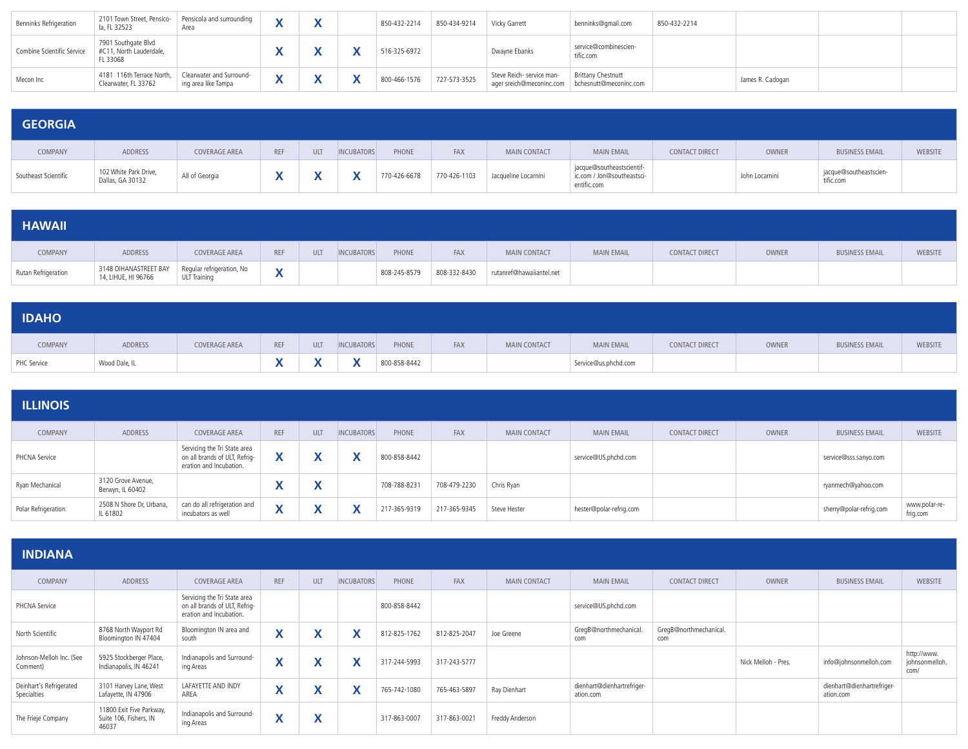| Benninks Refrigeration     | 2101 Town Street, Pensico- Pensicola and surrounding<br>la, FL 32523         | Area                |  | 850-432-2214              | 850-434-9214 | Vicky Garrett                                                                | benninks@gmail.com                 | 850-432-2214 |                  |  |
|----------------------------|------------------------------------------------------------------------------|---------------------|--|---------------------------|--------------|------------------------------------------------------------------------------|------------------------------------|--------------|------------------|--|
| Combine Scientific Service | 7901 Southgate Blvd<br>#C11, North Lauderdale,<br>FL 33068                   |                     |  | 516-325-6972              |              | Dwayne Ebanks                                                                | service@combinescien-<br>tific.com |              |                  |  |
| Mecon Inc                  | 4181 116th Terrace North,   Clearwater and Surround-<br>Clearwater, FL 33762 | ing area like Tampa |  | 800-466-1576 727-573-3525 |              | Steve Reich- service man-<br>ager sreich@meconinc.com bchesnutt@meconinc.com | <b>Brittany Chestnutt</b>          |              | James R. Cadogan |  |

| <b>GEORGIA</b>       |                                           |                |            |            |                   |              |              |                      |                                                                        |                |                |                                     |         |
|----------------------|-------------------------------------------|----------------|------------|------------|-------------------|--------------|--------------|----------------------|------------------------------------------------------------------------|----------------|----------------|-------------------------------------|---------|
| COMPANY              | ADDRESS                                   | COVERAGE AREA  | <b>REF</b> | <b>ULT</b> | <b>INCUBATORS</b> | PHONE        | FAX          | MAIN CONTACT         | <b>MAIN EMAIL</b>                                                      | CONTACT DIRECT | OWNER          | <b>BUSINESS EMAIL</b>               | WEBSITE |
| Southeast Scientific | 102 White Park Drive,<br>Dallas, GA 30132 | All of Georgia |            |            |                   | 770-426-6678 | 770-426-1103 | Jacqueline Locarnini | jacque@southeastscientif-<br>ic.com / Jon@southeastsci-<br>entific.com |                | John Locarnini | jacque@southeastscien-<br>tific.com |         |

| <b>HAWAII</b>       |                                                                        |                     |                                           |     |                   |              |              |                          |                   |                       |       |                       |         |
|---------------------|------------------------------------------------------------------------|---------------------|-------------------------------------------|-----|-------------------|--------------|--------------|--------------------------|-------------------|-----------------------|-------|-----------------------|---------|
| COMPANY             | <b>ADDRESS</b>                                                         | COVERAGE AREA       | <b>REF</b>                                | ULT | <b>INCUBATORS</b> | PHONE        | FAX          | <b>MAIN CONTACT</b>      | <b>MAIN EMAIL</b> | <b>CONTACT DIRECT</b> | OWNER | <b>BUSINESS EMAIL</b> | WEBSITE |
| Rutan Refrigeration | 3148 OIHANASTREET BAY Regular refrigeration, No<br>14, LIHUE, HI 96766 | <b>ULT Training</b> | $\mathbf{v}$<br>$\boldsymbol{\mathsf{A}}$ |     |                   | 808-245-8579 | 808-332-8430 | rutanref@hawaiiantel.net |                   |                       |       |                       |         |

| <b>IDAHO</b> |               |               |     |            |                   |              |     |              |                      |                |       |                       |         |
|--------------|---------------|---------------|-----|------------|-------------------|--------------|-----|--------------|----------------------|----------------|-------|-----------------------|---------|
| COMPANY      | ADDRESS       | COVERAGE AREA | REF | <b>ULT</b> | <b>INCUBATORS</b> | PHONE        | FAX | MAIN CONTACT | <b>MAIN EMAIL</b>    | CONTACT DIRECT | OWNER | <b>BUSINESS EMAIL</b> | WEBSITE |
| PHC Service  | Wood Dale, IL |               |     |            | $\mathbf{v}$      | 800-858-8442 |     |              | Service@us.phchd.com |                |       |                       |         |

| <b>ILLINOIS</b>     |                                        |                                                                                          |     |        |                   |              |              |                     |                         |                       |       |                         |                           |
|---------------------|----------------------------------------|------------------------------------------------------------------------------------------|-----|--------|-------------------|--------------|--------------|---------------------|-------------------------|-----------------------|-------|-------------------------|---------------------------|
| COMPANY             | ADDRESS                                | <b>COVERAGE AREA</b>                                                                     | REF | ULT    | <b>INCUBATORS</b> | PHONE        | <b>FAX</b>   | <b>MAIN CONTACT</b> | <b>MAIN EMAIL</b>       | <b>CONTACT DIRECT</b> | OWNER | <b>BUSINESS EMAIL</b>   | WEBSITE                   |
| PHCNA Service       |                                        | Servicing the Tri State area<br>on all brands of ULT, Refrig-<br>eration and Incubation. |     |        |                   | 800-858-8442 |              |                     | service@US.phchd.com    |                       |       | service@sss.sanyo.com   |                           |
| Ryan Mechanical     | 3120 Grove Avenue,<br>Berwyn, IL 60402 |                                                                                          |     | w<br>Λ |                   | 708-788-8231 | 708-479-2230 | Chris Ryan          |                         |                       |       | ryanmech@yahoo.com      |                           |
| Polar Refrigeration | 2508 N Shore Dr, Urbana,<br>IL 61802   | can do all refrigeration and<br>incubators as well                                       | Λ   | ↗      |                   | 217-365-9319 | 217-365-9345 | Steve Hester        | hester@polar-refrig.com |                       |       | sherry@polar-refrig.com | www.polar-re-<br>frig.com |

| <b>INDIANA</b>                         |                                                             |                                                                                          |                              |                                       |                           |              |              |                     |                                         |                               |                     |                                         |                                       |
|----------------------------------------|-------------------------------------------------------------|------------------------------------------------------------------------------------------|------------------------------|---------------------------------------|---------------------------|--------------|--------------|---------------------|-----------------------------------------|-------------------------------|---------------------|-----------------------------------------|---------------------------------------|
| COMPANY                                | ADDRESS                                                     | <b>COVERAGE AREA</b>                                                                     | <b>REF</b>                   | ULT                                   | <b>INCUBATORS</b>         | PHONE        | <b>FAX</b>   | <b>MAIN CONTACT</b> | <b>MAIN EMAIL</b>                       | CONTACT DIRECT                | <b>OWNER</b>        | <b>BUSINESS EMAIL</b>                   | <b>WEBSITE</b>                        |
| PHCNA Service                          |                                                             | Servicing the Tri State area<br>on all brands of ULT, Refrig-<br>eration and Incubation. |                              |                                       |                           | 800-858-8442 |              |                     | service@US.phchd.com                    |                               |                     |                                         |                                       |
| North Scientific                       | 8768 North Wayport Rd<br>Bloomington IN 47404               | Bloomington IN area and<br>south                                                         | $\mathbf{v}$<br>$\lambda$    | v<br>$\mathbf{v}$                     | $\checkmark$              | 812-825-1762 | 812-825-2047 | Joe Greene          | GregB@northmechanical.<br>com           | GregB@northmechanical.<br>com |                     |                                         |                                       |
| Johnson-Melloh Inc. (See<br>Comment)   | 5925 Stockberger Place,<br>Indianapolis, IN 46241           | Indianapolis and Surround-<br>ing Areas                                                  | $\mathbf{v}$<br>$\mathbf{v}$ | $\cdot$<br>Λ                          | $\checkmark$<br>$\lambda$ | 317-244-5993 | 317-243-5777 |                     |                                         |                               | Nick Melloh - Pres. | info@johnsonmelloh.com                  | http://www.<br>johnsonmelloh.<br>com/ |
| Deinhart's Refrigerated<br>Specialties | 3101 Harvey Lane, West<br>Lafayette, IN 47906               | LAFAYETTE AND INDY<br>AREA                                                               | $\mathbf{v}$<br>$\mathbf{v}$ | v<br>́                                | v<br>$\lambda$            | 765-742-1080 | 765-463-5897 | Ray Dienhart        | dienhart@dienhartrefriger-<br>ation.com |                               |                     | dienhart@dienhartrefriger-<br>ation.com |                                       |
| The Frieje Company                     | 11800 Exit Five Parkway,<br>Suite 106, Fishers, IN<br>46037 | Indianapolis and Surround-<br>ing Areas                                                  | $\mathbf{v}$<br>$\mathbf{v}$ | $\overline{\phantom{a}}$<br>$\lambda$ |                           | 317-863-0007 | 317-863-0021 | Freddy Anderson     |                                         |                               |                     |                                         |                                       |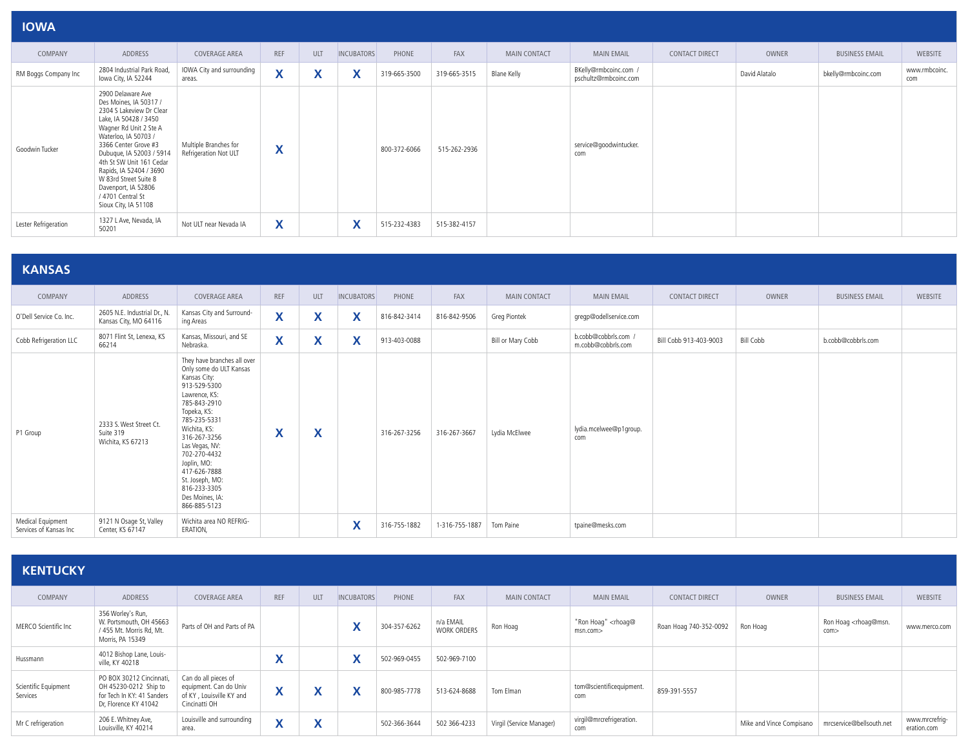| <b>IOWA</b>          |                                                                                                                                                                                                                                                                                                                                                            |                                                |            |     |                   |              |              |                     |                                                |                |               |                       |                      |
|----------------------|------------------------------------------------------------------------------------------------------------------------------------------------------------------------------------------------------------------------------------------------------------------------------------------------------------------------------------------------------------|------------------------------------------------|------------|-----|-------------------|--------------|--------------|---------------------|------------------------------------------------|----------------|---------------|-----------------------|----------------------|
| COMPANY              | ADDRESS                                                                                                                                                                                                                                                                                                                                                    | <b>COVERAGE AREA</b>                           | <b>REF</b> | ULT | <b>INCUBATORS</b> | PHONE        | FAX          | <b>MAIN CONTACT</b> | <b>MAIN EMAIL</b>                              | CONTACT DIRECT | OWNER         | <b>BUSINESS EMAIL</b> | <b>WEBSITE</b>       |
| RM Boggs Company Inc | 2804 Industrial Park Road,<br>Iowa City, IA 52244                                                                                                                                                                                                                                                                                                          | IOWA City and surrounding<br>areas.            | X          | X   | X                 | 319-665-3500 | 319-665-3515 | <b>Blane Kelly</b>  | BKelly@rmbcoinc.com /<br>pschultz@rmbcoinc.com |                | David Alatalo | bkelly@rmbcoinc.com   | www.rmbcoinc.<br>com |
| Goodwin Tucker       | 2900 Delaware Ave<br>Des Moines, IA 50317 /<br>2304 S Lakeview Dr Clear<br>Lake, IA 50428 / 3450<br>Wagner Rd Unit 2 Ste A<br>Waterloo, IA 50703 /<br>3366 Center Grove #3<br>Dubuque, IA 52003 / 5914<br>4th St SW Unit 161 Cedar<br>Rapids, IA 52404 / 3690<br>W 83rd Street Suite 8<br>Davenport, IA 52806<br>/ 4701 Central St<br>Sioux City, IA 51108 | Multiple Branches for<br>Refrigeration Not ULT | X          |     |                   | 800-372-6066 | 515-262-2936 |                     | service@goodwintucker.<br>com                  |                |               |                       |                      |
| Lester Refrigeration | 1327 L Ave, Nevada, IA<br>50201                                                                                                                                                                                                                                                                                                                            | Not ULT near Nevada IA                         | X          |     | X                 | 515-232-4383 | 515-382-4157 |                     |                                                |                |               |                       |                      |

#### **KANSAS**

| COMPANY                                     | ADDRESS                                                   | COVERAGE AREA                                                                                                                                                                                                                                                                                                                 | REF                          | ULT                          | <b>INCUBATORS</b> | PHONE        | FAX            | MAIN CONTACT      | <b>MAIN EMAIL</b>                          | <b>CONTACT DIRECT</b>  | OWNER            | <b>BUSINESS EMAIL</b> | WEBSITE |
|---------------------------------------------|-----------------------------------------------------------|-------------------------------------------------------------------------------------------------------------------------------------------------------------------------------------------------------------------------------------------------------------------------------------------------------------------------------|------------------------------|------------------------------|-------------------|--------------|----------------|-------------------|--------------------------------------------|------------------------|------------------|-----------------------|---------|
| O'Dell Service Co. Inc.                     | 2605 N.E. Industrial Dr., N.<br>Kansas City, MO 64116     | Kansas City and Surround-<br>ing Areas                                                                                                                                                                                                                                                                                        | X                            | $\mathbf{v}$<br>$\mathbf{A}$ | X                 | 816-842-3414 | 816-842-9506   | Greg Piontek      | gregp@odellservice.com                     |                        |                  |                       |         |
| Cobb Refrigeration LLC                      | 8071 Flint St, Lenexa, KS<br>66214                        | Kansas, Missouri, and SE<br>Nebraska.                                                                                                                                                                                                                                                                                         | $\mathbf{v}$<br>$\mathbf{A}$ | X                            | X                 | 913-403-0088 |                | Bill or Mary Cobb | b.cobb@cobbrls.com /<br>m.cobb@cobbrls.com | Bill Cobb 913-403-9003 | <b>Bill Cobb</b> | b.cobb@cobbrls.com    |         |
| P1 Group                                    | 2333 S. West Street Ct.<br>Suite 319<br>Wichita, KS 67213 | They have branches all over<br>Only some do ULT Kansas<br>Kansas City:<br>913-529-5300<br>Lawrence, KS:<br>785-843-2910<br>Topeka, KS:<br>785-235-5331<br>Wichita, KS:<br>316-267-3256<br>Las Vegas, NV:<br>702-270-4432<br>Joplin, MO:<br>417-626-7888<br>St. Joseph, MO:<br>816-233-3305<br>Des Moines, IA:<br>866-885-5123 | $\mathbf{v}$<br>A            | X                            |                   | 316-267-3256 | 316-267-3667   | Lydia McElwee     | lydia.mcelwee@p1group.<br>com              |                        |                  |                       |         |
| Medical Equipment<br>Services of Kansas Inc | 9121 N Osage St, Valley<br>Center, KS 67147               | Wichita area NO REFRIG-<br>ERATION,                                                                                                                                                                                                                                                                                           |                              |                              | X                 | 316-755-1882 | 1-316-755-1887 | Tom Paine         | tpaine@mesks.com                           |                        |                  |                       |         |

| <b>KENTUCKY</b> |  |  |
|-----------------|--|--|
|                 |  |  |

| COMPANY                          | ADDRESS                                                                                                  | <b>COVERAGE AREA</b>                                                                        | <b>REF</b>                             | ULT    | <b>INCUBATORS</b> | PHONE        | <b>FAX</b>                      | <b>MAIN CONTACT</b>      | <b>MAIN EMAIL</b>                         | <b>CONTACT DIRECT</b>  | OWNER                    | <b>BUSINESS EMAIL</b>                       | WEBSITE                       |
|----------------------------------|----------------------------------------------------------------------------------------------------------|---------------------------------------------------------------------------------------------|----------------------------------------|--------|-------------------|--------------|---------------------------------|--------------------------|-------------------------------------------|------------------------|--------------------------|---------------------------------------------|-------------------------------|
| MERCO Scientific Inc             | 356 Worley's Run,<br>W. Portsmouth, OH 45663<br>/ 455 Mt. Morris Rd, Mt.<br>Morris, PA 15349             | Parts of OH and Parts of PA                                                                 |                                        |        |                   | 304-357-6262 | n/a EMAIL<br><b>WORK ORDERS</b> | Ron Hoag                 | "Ron Hoag" <rhoag@<br>msn.com</rhoag@<br> | Roan Hoag 740-352-0092 | Ron Hoag                 | Ron Hoag <rhoag@msn.<br>com</rhoag@msn.<br> | www.merco.com                 |
| Hussmann                         | 4012 Bishop Lane, Louis-<br>ville, KY 40218                                                              |                                                                                             |                                        |        |                   | 502-969-0455 | 502-969-7100                    |                          |                                           |                        |                          |                                             |                               |
| Scientific Equipment<br>Services | PO BOX 30212 Cincinnati.<br>OH 45230-0212 Ship to<br>for Tech In KY: 41 Sanders<br>Dr. Florence KY 41042 | Can do all pieces of<br>equipment. Can do Univ<br>of KY, Louisville KY and<br>Cincinatti OH | $\mathbf{v}$                           |        |                   | 800-985-7778 | 513-624-8688                    | Tom Elman                | tom@scientificequipment.<br>com           | 859-391-5557           |                          |                                             |                               |
| Mr C refrigeration               | 206 E. Whitney Ave,<br>Louisville, KY 40214                                                              | Louisville and surrounding<br>area.                                                         | $\overline{\phantom{a}}$<br>$\sqrt{ }$ | v<br>Λ |                   | 502-366-3644 | 502 366-4233                    | Virgil (Service Manager) | virgil@mrcrefrigeration.<br>com           |                        | Mike and Vince Compisano | mrcservice@bellsouth.net                    | www.mrcrefrig-<br>eration.com |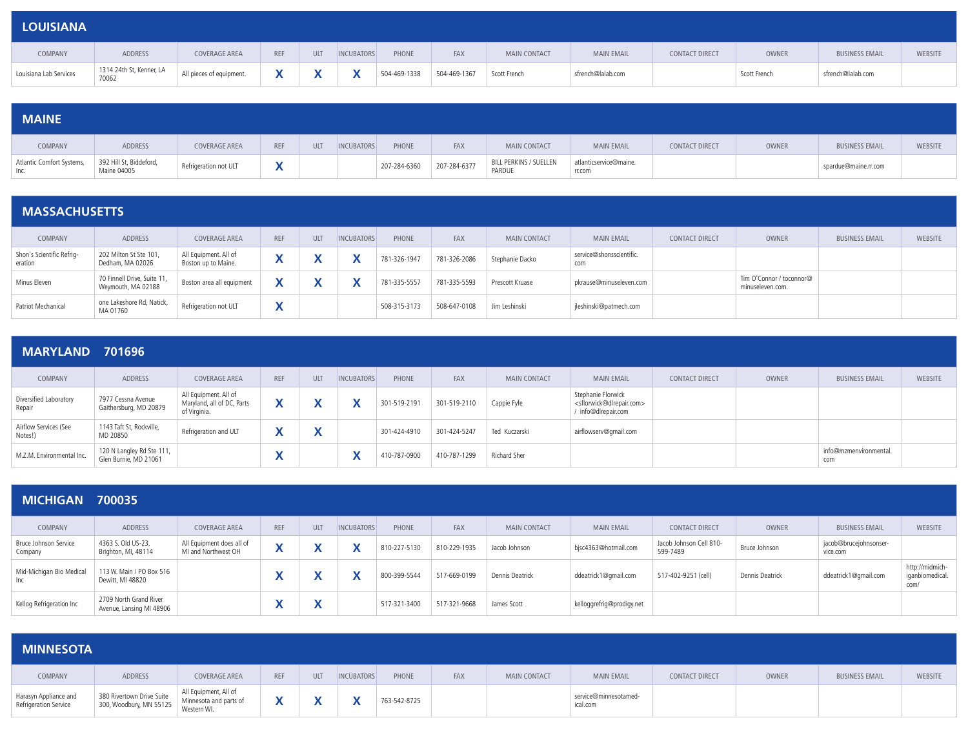| <b>LOUISIANA</b>       |                                   |                          |     |     |                   |              |              |              |                   |                       |              |                       |         |
|------------------------|-----------------------------------|--------------------------|-----|-----|-------------------|--------------|--------------|--------------|-------------------|-----------------------|--------------|-----------------------|---------|
| COMPANY                | ADDRESS                           | COVERAGE AREA            | REF | ULT | <b>INCUBATORS</b> | PHONE        | FAX          | MAIN CONTACT | <b>MAIN EMAIL</b> | <b>CONTACT DIRECT</b> | OWNER        | <b>BUSINESS EMAIL</b> | WEBSITE |
| Louisiana Lab Services | 1314 24th St, Kenner, LA<br>70062 | All pieces of equipment. |     |     |                   | 504-469-1338 | 504-469-1367 | Scott French | sfrench@lalab.com |                       | Scott French | sfrench@lalab.com     |         |

| <b>MAINE</b>                      |                                        |                       |            |            |                   |              |              |                                  |                                  |                |       |                       |         |
|-----------------------------------|----------------------------------------|-----------------------|------------|------------|-------------------|--------------|--------------|----------------------------------|----------------------------------|----------------|-------|-----------------------|---------|
| COMPANY                           | ADDRESS                                | COVERAGE AREA         | <b>REF</b> | <b>ULT</b> | <b>INCUBATORS</b> | PHONE        | <b>FAX</b>   | <b>MAIN CONTACT</b>              | <b>MAIN EMAIL</b>                | CONTACT DIRECT | OWNER | <b>BUSINESS EMAIL</b> | WEBSITE |
| Atlantic Comfort Systems,<br>Inc. | 392 Hill St, Biddeford,<br>Maine 04005 | Refrigeration not ULT |            |            |                   | 207-284-6360 | 207-284-6377 | BILL PERKINS / SUELLEN<br>PARDUE | atlanticservice@maine.<br>rr.com |                |       | spardue@maine.rr.com  |         |

| <b>MASSACHUSETTS</b>                 |                                                   |                                              |                                       |     |                   |              |              |                 |                                 |                       |                                              |                       |         |
|--------------------------------------|---------------------------------------------------|----------------------------------------------|---------------------------------------|-----|-------------------|--------------|--------------|-----------------|---------------------------------|-----------------------|----------------------------------------------|-----------------------|---------|
| COMPANY                              | ADDRESS                                           | COVERAGE AREA                                | <b>REF</b>                            | ULT | <b>INCUBATORS</b> | PHONE        | FAX          | MAIN CONTACT    | <b>MAIN EMAIL</b>               | <b>CONTACT DIRECT</b> | OWNER                                        | <b>BUSINESS EMAIL</b> | WEBSITE |
| Shon's Scientific Refrig-<br>eration | 202 Milton St Ste 101,<br>Dedham, MA 02026        | All Equipment. All of<br>Boston up to Maine. | $\overline{\phantom{a}}$<br>$\lambda$ |     |                   | 781-326-1947 | 781-326-2086 | Stephanie Dacko | service@shonsscientific.<br>com |                       |                                              |                       |         |
| Minus Eleven                         | 70 Finnell Drive, Suite 11,<br>Weymouth, MA 02188 | Boston area all equipment                    | $\mathbf{v}$                          |     | $\mathbf{v}$      | 781-335-5557 | 781-335-5593 | Prescott Kruase | pkrause@minuseleven.com         |                       | Tim O'Connor / toconnor@<br>minuseleven.com. |                       |         |
| Patriot Mechanical                   | one Lakeshore Rd, Natick,<br>MA 01760             | Refrigeration not ULT                        | $\checkmark$                          |     |                   | 508-315-3173 | 508-647-0108 | Jim Leshinski   | jleshinski@patmech.com          |                       |                                              |                       |         |

#### **MARYLAND 701696**

| COMPANY                          | ADDRESS                                            | <b>COVERAGE AREA</b>                                                | <b>REF</b> | <b>ULT</b>   | <b>INCUBATORS</b> | PHONE        | FAX          | MAIN CONTACT  | <b>MAIN EMAIL</b>                                                                             | <b>CONTACT DIRECT</b> | OWNER | <b>BUSINESS EMAIL</b>         | <b>WEBSITE</b> |
|----------------------------------|----------------------------------------------------|---------------------------------------------------------------------|------------|--------------|-------------------|--------------|--------------|---------------|-----------------------------------------------------------------------------------------------|-----------------------|-------|-------------------------------|----------------|
| Diversified Laboratory<br>Repair | 7977 Cessna Avenue<br>Gaithersburg, MD 20879       | All Equipment. All of<br>Maryland, all of DC, Parts<br>of Virginia. |            |              |                   | 301-519-2191 | 301-519-2110 | Cappie Fyfe   | Stephanie Florwick<br><sflorwick@dlrepair.com><br/>info@dlrepair.com</sflorwick@dlrepair.com> |                       |       |                               |                |
| Airflow Services (See<br>Notes!) | 1143 Taft St, Rockville,<br>MD 20850               | Refrigeration and ULT                                               |            | $\mathbf{v}$ |                   | 301-424-4910 | 301-424-5247 | Ted Kuczarski | airflowserv@gmail.com                                                                         |                       |       |                               |                |
| M.Z.M. Environmental Inc.        | 120 N Langley Rd Ste 111,<br>Glen Burnie, MD 21061 |                                                                     |            |              |                   | 410-787-0900 | 410-787-1299 | Richard Sher  |                                                                                               |                       |       | info@mzmenvironmental.<br>com |                |

| <b>MICHIGAN</b>                  | 700035                                             |                                                  |                          |            |                   |              |              |                     |                           |                                     |                 |                                    |                                            |
|----------------------------------|----------------------------------------------------|--------------------------------------------------|--------------------------|------------|-------------------|--------------|--------------|---------------------|---------------------------|-------------------------------------|-----------------|------------------------------------|--------------------------------------------|
| COMPANY                          | ADDRESS                                            | <b>COVERAGE AREA</b>                             | <b>REF</b>               | <b>ULT</b> | <b>INCUBATORS</b> | PHONE        | FAX          | <b>MAIN CONTACT</b> | <b>MAIN EMAIL</b>         | <b>CONTACT DIRECT</b>               | OWNER           | <b>BUSINESS EMAIL</b>              | <b>WEBSITE</b>                             |
| Bruce Johnson Service<br>Company | 4363 S. Old US-23,<br>Brighton, MI, 48114          | All Equipment does all of<br>MI and Northwest OH | $\overline{\phantom{a}}$ |            |                   | 810-227-5130 | 810-229-1935 | Jacob Johnson       | bjsc4363@hotmail.com      | Jacob Johnson Cell 810-<br>599-7489 | Bruce Johnson   | jacob@brucejohnsonser-<br>vice.com |                                            |
| Mid-Michigan Bio Medical<br>Inc  | 113 W. Main / PO Box 516<br>Dewitt, MI 48820       |                                                  |                          |            | $\mathbf{v}$      | 800-399-5544 | 517-669-0199 | Dennis Deatrick     | ddeatrick1@gmail.com      | 517-402-9251 (cell)                 | Dennis Deatrick | ddeatrick1@gmail.com               | http://midmich-<br>iganbiomedical.<br>com/ |
| Kellog Refrigeration Inc         | 2709 North Grand River<br>Avenue, Lansing MI 48906 |                                                  |                          |            |                   | 517-321-3400 | 517-321-9668 | James Scott         | kelloggrefrig@prodigy.net |                                     |                 |                                    |                                            |

| <b>MINNESOTA</b>                               |                                                                                            |               |              |     |                   |              |     |                     |                                   |                |       |                       |         |
|------------------------------------------------|--------------------------------------------------------------------------------------------|---------------|--------------|-----|-------------------|--------------|-----|---------------------|-----------------------------------|----------------|-------|-----------------------|---------|
| COMPANY                                        | ADDRESS                                                                                    | COVERAGE AREA | <b>REF</b>   | ULT | <b>INCUBATORS</b> | PHONE        | FAX | <b>MAIN CONTACT</b> | <b>MAIN EMAIL</b>                 | CONTACT DIRECT | OWNER | <b>BUSINESS EMAIL</b> | WEBSITE |
| Harasyn Appliance and<br>Refrigeration Service | 380 Rivertown Drive Suite<br>300, Woodbury, MN 55125 Minnesota and parts of<br>Western WI. |               | $\mathbf{v}$ |     |                   | 763-542-8725 |     |                     | service@minnesotamed-<br>ical.com |                |       |                       |         |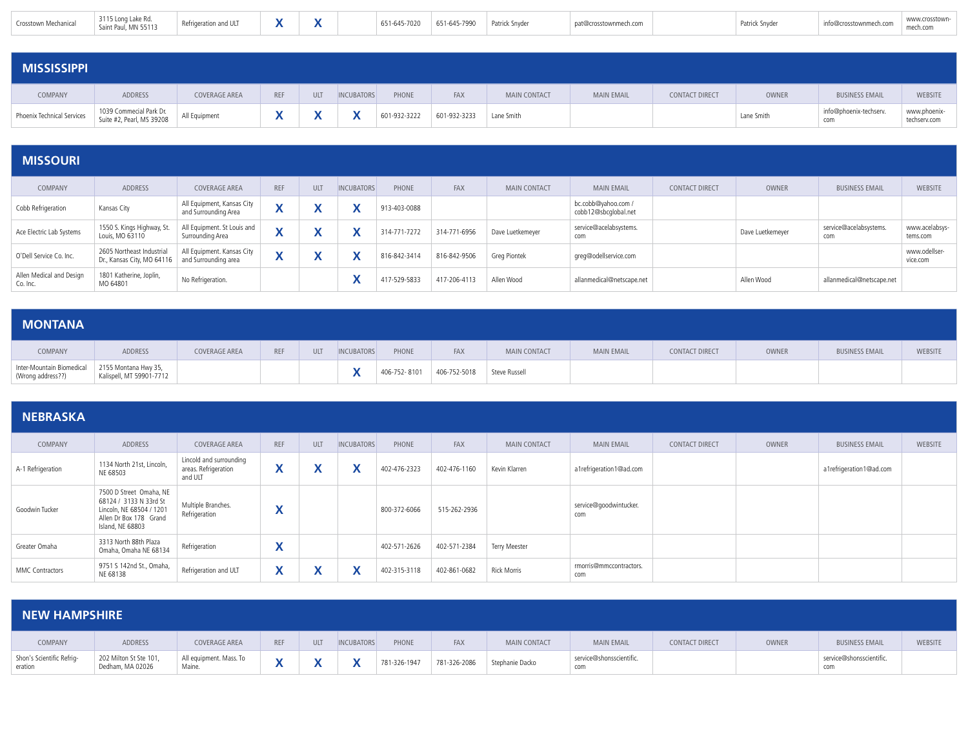| Crosstown Mechanical | 3115 Long Lake Rd.<br>Saint Paul, MN 55113<br>the contract of the contract of the | Refrigeration and ULT | $\mathbf{v}$<br>Λ | 651-645-7020 | 651-645-7990 | Patrick Snyder | t@crosstownmech.com | Patrick Snyder | nto@crosstownmech.com | www.crosstown-<br>mech.com |
|----------------------|-----------------------------------------------------------------------------------|-----------------------|-------------------|--------------|--------------|----------------|---------------------|----------------|-----------------------|----------------------------|
|                      |                                                                                   |                       |                   |              |              |                |                     |                |                       |                            |

| <b>MISSISSIPPI</b>         |                                                      |               |     |            |                   |              |              |                     |                   |                       |            |                               |                              |
|----------------------------|------------------------------------------------------|---------------|-----|------------|-------------------|--------------|--------------|---------------------|-------------------|-----------------------|------------|-------------------------------|------------------------------|
| COMPANY                    | ADDRESS                                              | COVERAGE AREA | REF | <b>ULT</b> | <b>INCUBATORS</b> | PHONE        | <b>FAX</b>   | <b>MAIN CONTACT</b> | <b>MAIN EMAIL</b> | <b>CONTACT DIRECT</b> | OWNER      | <b>BUSINESS EMAIL</b>         | <b>WEBSITE</b>               |
| Phoenix Technical Services | 1039 Commecial Park Dr.<br>Suite #2, Pearl, MS 39208 | All Equipment |     |            |                   | 601-932-3222 | 601-932-3233 | Lane Smith          |                   |                       | Lane Smith | info@phoenix-techserv.<br>com | www.phoenix-<br>techserv.com |

### **MISSOURI**

| COMPANY                              | <b>ADDRESS</b>                                          | <b>COVERAGE AREA</b>                               | <b>REF</b> | <b>ULT</b>   | <b>INCUBATORS</b> | PHONE        | FAX          | <b>MAIN CONTACT</b> | <b>MAIN EMAIL</b>                           | <b>CONTACT DIRECT</b> | OWNER            | <b>BUSINESS EMAIL</b>         | <b>WEBSITE</b>             |
|--------------------------------------|---------------------------------------------------------|----------------------------------------------------|------------|--------------|-------------------|--------------|--------------|---------------------|---------------------------------------------|-----------------------|------------------|-------------------------------|----------------------------|
| Cobb Refrigeration                   | Kansas City                                             | All Equipment, Kansas City<br>and Surrounding Area |            | $\mathbf{v}$ |                   | 913-403-0088 |              |                     | bc.cobb@yahoo.com /<br>cobb12@sbcqlobal.net |                       |                  |                               |                            |
| Ace Electric Lab Systems             | 1550 S. Kings Highway, St.<br>Louis, MO 63110           | All Equipment. St Louis and<br>Surrounding Area    |            | Λ            |                   | 314-771-7272 | 314-771-6956 | Dave Luetkemeyer    | service@acelabsystems.<br>com               |                       | Dave Luetkemeyer | service@acelabsystems.<br>com | www.acelabsys-<br>tems.com |
| O'Dell Service Co. Inc.              | 2605 Northeast Industrial<br>Dr., Kansas City, MO 64116 | All Equipment. Kansas City<br>and Surrounding area |            |              |                   | 816-842-3414 | 816-842-9506 | Greg Piontek        | greg@odellservice.com                       |                       |                  |                               | www.odellser-<br>vice.com  |
| Allen Medical and Design<br>Co. Inc. | 1801 Katherine, Joplin,<br>MO 64801                     | No Refrigeration.                                  |            |              |                   | 417-529-5833 | 417-206-4113 | Allen Wood          | allanmedical@netscape.net                   |                       | Allen Wood       | allanmedical@netscape.net     |                            |

| <b>MONTANA</b>                                 |                                                  |               |            |            |                   |       |                           |               |                   |                |       |                       |         |
|------------------------------------------------|--------------------------------------------------|---------------|------------|------------|-------------------|-------|---------------------------|---------------|-------------------|----------------|-------|-----------------------|---------|
| COMPANY                                        | ADDRESS                                          | COVERAGE AREA | <b>REF</b> | <b>ULT</b> | <b>INCUBATORS</b> | PHONE | FAX                       | MAIN CONTACT  | <b>MAIN EMAIL</b> | CONTACT DIRECT | OWNER | <b>BUSINESS EMAIL</b> | WEBSITE |
| Inter-Mountain Biomedical<br>(Wrong address??) | 2155 Montana Hwy 35,<br>Kalispell, MT 59901-7712 |               |            |            |                   |       | 406-752-8101 406-752-5018 | Steve Russell |                   |                |       |                       |         |

| <b>NEBRASKA</b>   |                                                                                                                             |                                                            |                              |            |                                           |              |              |                     |                                |                       |              |                         |         |
|-------------------|-----------------------------------------------------------------------------------------------------------------------------|------------------------------------------------------------|------------------------------|------------|-------------------------------------------|--------------|--------------|---------------------|--------------------------------|-----------------------|--------------|-------------------------|---------|
| COMPANY           | ADDRESS                                                                                                                     | COVERAGE AREA                                              | <b>REF</b>                   | <b>ULT</b> | <b>INCUBATORS</b>                         | PHONE        | <b>FAX</b>   | <b>MAIN CONTACT</b> | <b>MAIN EMAIL</b>              | <b>CONTACT DIRECT</b> | <b>OWNER</b> | <b>BUSINESS EMAIL</b>   | WEBSITE |
| A-1 Refrigeration | 1134 North 21st, Lincoln,<br>NE 68503                                                                                       | Lincold and surrounding<br>areas. Refrigeration<br>and ULT | $\checkmark$<br>$\mathbf{v}$ | X          | $\lambda$                                 | 402-476-2323 | 402-476-1160 | Kevin Klarren       | a1refrigeration1@ad.com        |                       |              | a1refrigeration1@ad.com |         |
| Goodwin Tucker    | 7500 D Street Omaha, NE<br>68124 / 3133 N 33rd St<br>Lincoln, NE 68504 / 1201<br>Allen Dr Box 178 Grand<br>Island, NE 68803 | Multiple Branches.<br>Refrigeration                        | $\mathbf{v}$<br>́            |            |                                           | 800-372-6066 | 515-262-2936 |                     | service@goodwintucker.<br>com  |                       |              |                         |         |
| Greater Omaha     | 3313 North 88th Plaza<br>Omaha, Omaha NE 68134                                                                              | Refrigeration                                              | $\mathbf{v}$<br>↗            |            |                                           | 402-571-2626 | 402-571-2384 | Terry Meester       |                                |                       |              |                         |         |
| MMC Contractors   | 9751 S 142nd St., Omaha,<br>NE 68138                                                                                        | Refrigeration and ULT                                      | X                            | X          | $\mathbf{v}$<br>$\boldsymbol{\mathsf{A}}$ | 402-315-3118 | 402-861-0682 | <b>Rick Morris</b>  | rmorris@mmccontractors.<br>com |                       |              |                         |         |

| <b>NEW HAMPSHIRE</b>                 |                                            |                                   |              |            |                   |              |              |                 |                                 |                |       |                                 |         |
|--------------------------------------|--------------------------------------------|-----------------------------------|--------------|------------|-------------------|--------------|--------------|-----------------|---------------------------------|----------------|-------|---------------------------------|---------|
| COMPANY                              | ADDRESS                                    | COVERAGE AREA                     | <b>REF</b>   | <b>ULT</b> | <b>INCUBATORS</b> | PHONE        | <b>FAX</b>   | MAIN CONTACT    | <b>MAIN EMAIL</b>               | CONTACT DIRECT | OWNER | <b>BUSINESS EMAIL</b>           | WEBSITE |
| Shon's Scientific Refrig-<br>eration | 202 Milton St Ste 101,<br>Dedham, MA 02026 | All equipment. Mass. To<br>Maine. | $\mathbf{v}$ |            | $\mathbf{v}$      | 781-326-1947 | 781-326-2086 | Stephanie Dacko | service@shonsscientific.<br>com |                |       | service@shonsscientific.<br>com |         |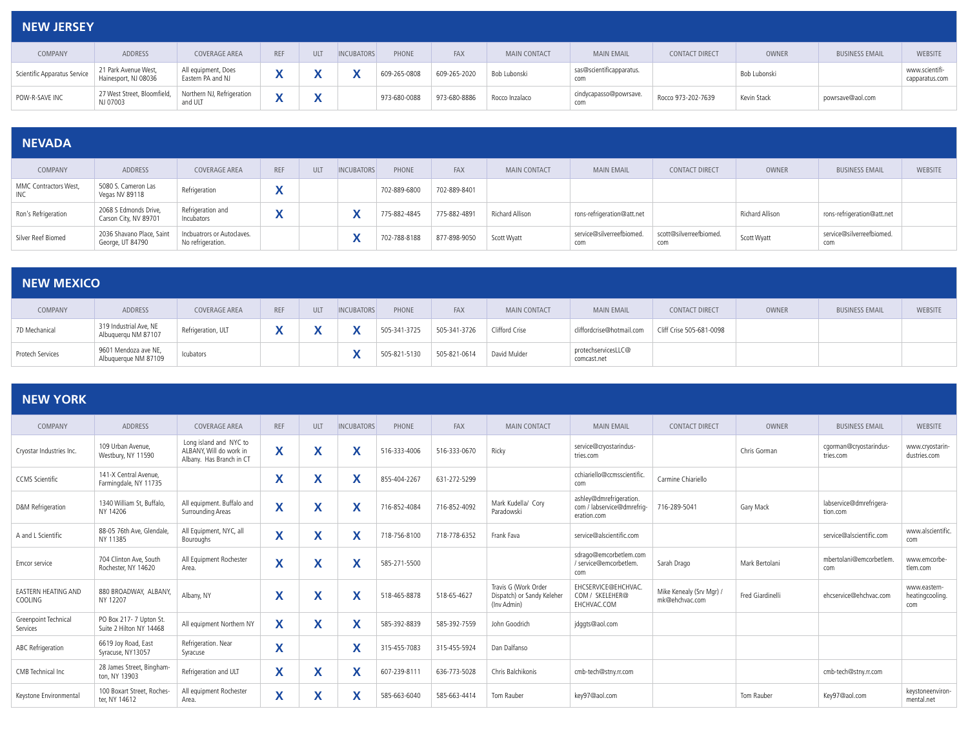| <b>NEW JERSEY</b>            |                                              |                                          |            |              |                   |              |              |                     |                                 |                       |              |                       |                                  |
|------------------------------|----------------------------------------------|------------------------------------------|------------|--------------|-------------------|--------------|--------------|---------------------|---------------------------------|-----------------------|--------------|-----------------------|----------------------------------|
| COMPANY                      | ADDRESS                                      | COVERAGE AREA                            | <b>REF</b> | <b>ULT</b>   | <b>INCUBATORS</b> | PHONE        | <b>FAX</b>   | <b>MAIN CONTACT</b> | <b>MAIN EMAIL</b>               | <b>CONTACT DIRECT</b> | <b>OWNER</b> | <b>BUSINESS EMAIL</b> | <b>WEBSITE</b>                   |
| Scientific Apparatus Service | 21 Park Avenue West,<br>Hainesport, NJ 08036 | All equipment, Does<br>Eastern PA and NJ |            |              |                   | 609-265-0808 | 609-265-2020 | Bob Lubonski        | sas@scientificapparatus.<br>com |                       | Bob Lubonski |                       | www.scientifi-<br>capparatus.com |
| POW-R-SAVE INC               | 27 West Street, Bloomfield,<br>NJ 07003      | Northern NJ, Refrigeration<br>and ULT    |            | $\mathbf{v}$ |                   | 973-680-0088 | 973-680-8886 | Rocco Inzalaco      | cindycapasso@powrsave.<br>com   | Rocco 973-202-7639    | Kevin Stack  | powrsave@aol.com      |                                  |

## **NEVADA**

| COMPANY                      | ADDRESS                                        | COVERAGE AREA                                   | <b>REF</b>   | ULT | <b>INCUBATORS</b> | PHONE        | <b>FAX</b>   | <b>MAIN CONTACT</b> | <b>MAIN EMAIL</b>                | <b>CONTACT DIRECT</b>          | <b>OWNER</b>    | <b>BUSINESS EMAIL</b>            | WEBSITE |
|------------------------------|------------------------------------------------|-------------------------------------------------|--------------|-----|-------------------|--------------|--------------|---------------------|----------------------------------|--------------------------------|-----------------|----------------------------------|---------|
| MMC Contractors West,<br>INC | 5080 S. Cameron Las<br>Vegas NV 89118          | Refrigeration                                   |              |     |                   | 702-889-6800 | 702-889-8401 |                     |                                  |                                |                 |                                  |         |
| Ron's Refrigeration          | 2068 S Edmonds Drive,<br>Carson City, NV 89701 | Refrigeration and<br>Incubators                 | $\mathbf{v}$ |     |                   | 775-882-4845 | 775-882-4891 | Richard Allison     | rons-refrigeration@att.net       |                                | Richard Allison | rons-refrigeration@att.net       |         |
| Silver Reef Biomed           | 2036 Shavano Place, Saint<br>George, UT 84790  | Incbuatrors or Autoclaves.<br>No refrigeration. |              |     |                   | 702-788-8188 | 877-898-9050 | Scott Wyatt         | service@silverreefbiomed.<br>com | scott@silverreefbiomed.<br>com | Scott Wyatt     | service@silverreefbiomed.<br>com |         |

| <b>NEW MEXICO</b> |                                               |                      |            |            |                   |              |              |                |                                    |                          |              |                       |         |
|-------------------|-----------------------------------------------|----------------------|------------|------------|-------------------|--------------|--------------|----------------|------------------------------------|--------------------------|--------------|-----------------------|---------|
| COMPANY           | ADDRESS                                       | <b>COVERAGE AREA</b> | <b>REF</b> | <b>ULT</b> | <b>INCUBATORS</b> | PHONE        | <b>FAX</b>   | MAIN CONTACT   | <b>MAIN EMAIL</b>                  | CONTACT DIRECT           | <b>OWNER</b> | <b>BUSINESS EMAIL</b> | WEBSITE |
| 7D Mechanical     | 319 Industrial Ave, NE<br>Albuquerqu NM 87107 | Refrigeration, ULT   |            |            | $\mathbf{v}$      | 505-341-3725 | 505-341-3726 | Clifford Crise | cliffordcrise@hotmail.com          | Cliff Crise 505-681-0098 |              |                       |         |
| Protech Services  | 9601 Mendoza ave NE,<br>Albuquerque NM 87109  | Icubators            |            |            |                   | 505-821-5130 | 505-821-0614 | David Mulder   | protechservicesLLC@<br>comcast.net |                          |              |                       |         |

| <b>NEW YORK</b>                       |                                                  |                                                                               |                                           |                   |                   |              |              |                                                                   |                                                                      |                                            |                  |                                     |                                        |
|---------------------------------------|--------------------------------------------------|-------------------------------------------------------------------------------|-------------------------------------------|-------------------|-------------------|--------------|--------------|-------------------------------------------------------------------|----------------------------------------------------------------------|--------------------------------------------|------------------|-------------------------------------|----------------------------------------|
| COMPANY                               | <b>ADDRESS</b>                                   | <b>COVERAGE AREA</b>                                                          | <b>REF</b>                                | <b>ULT</b>        | <b>INCUBATORS</b> | PHONE        | FAX          | <b>MAIN CONTACT</b>                                               | <b>MAIN EMAIL</b>                                                    | <b>CONTACT DIRECT</b>                      | OWNER            | <b>BUSINESS EMAIL</b>               | <b>WEBSITE</b>                         |
| Cryostar Industries Inc.              | 109 Urban Avenue.<br>Westburv. NY 11590          | Long island and NYC to<br>ALBANY. Will do work in<br>Albany. Has Branch in CT | X                                         | X                 | X                 | 516-333-4006 | 516-333-0670 | Ricky                                                             | service@cryostarindus-<br>tries.com                                  |                                            | Chris Gorman     | cgorman@cryostarindus-<br>tries.com | www.cryostarin-<br>dustries.com        |
| <b>CCMS</b> Scientific                | 141-X Central Avenue.<br>Farmingdale, NY 11735   |                                                                               | Χ                                         | X                 | X                 | 855-404-2267 | 631-272-5299 |                                                                   | cchiariello@ccmsscientific<br>com                                    | Carmine Chiariello                         |                  |                                     |                                        |
| D&M Refrigeration                     | 1340 William St, Buffalo,<br>NY 14206            | All equipment. Buffalo and<br>Surrounding Areas                               | $\mathbf{v}$<br>$\boldsymbol{\mathsf{A}}$ | $\checkmark$<br>л | X                 | 716-852-4084 | 716-852-4092 | Mark Kudella/ Corv<br>Paradowski                                  | ashley@dmrefrigeration.<br>com / labservice@dmrefrig-<br>eration.com | 716-289-5041                               | Gary Mack        | labservice@dmrefrigera-<br>tion.com |                                        |
| A and L Scientific                    | 88-05 76th Ave, Glendale,<br>NY 11385            | All Equipment, NYC, all<br>Bouroughs                                          | X                                         | X                 | X                 | 718-756-8100 | 718-778-6352 | Frank Fava                                                        | service@alscientific.com                                             |                                            |                  | service@alscientific.com            | www.alscientific.<br>com               |
| Emcor service                         | 704 Clinton Ave. South<br>Rochester, NY 14620    | All Equipment Rochester<br>Area.                                              | $\mathbf v$<br>$\boldsymbol{\mathsf{A}}$  | X                 | X                 | 585-271-5500 |              |                                                                   | sdrago@emcorbetlem.com<br>/ service@emcorbetlem.<br>com              | Sarah Drago                                | Mark Bertolani   | mbertolani@emcorbetlem.<br>com      | www.emcorbe-<br>tlem.com               |
| <b>EASTERN HEATING AND</b><br>COOLING | 880 BROADWAY, ALBANY,<br>NY 12207                | Albany, NY                                                                    | X                                         | X                 | X                 | 518-465-8878 | 518-65-4627  | Travis G (Work Order<br>Dispatch) or Sandy Keleher<br>(Inv Admin) | EHCSERVICE@EHCHVAC.<br>COM / SKELEHER@<br>EHCHVAC.COM                | Mike Kenealy (Srv Mgr) /<br>mk@ehchvac.com | Fred Giardinelli | ehcservice@ehchvac.com              | www.eastern-<br>heatingcooling.<br>com |
| Greenpoint Technical<br>Services      | PO Box 217-7 Upton St<br>Suite 2 Hilton NY 14468 | All equipment Northern NY                                                     | X                                         | X                 | X                 | 585-392-8839 | 585-392-7559 | John Goodrich                                                     | jdggts@aol.com                                                       |                                            |                  |                                     |                                        |
| ABC Refrigeration                     | 6619 Joy Road, East<br>Syracuse, NY13057         | Refrigeration, Near<br>Syracuse                                               | $\checkmark$<br>$\boldsymbol{\mathsf{A}}$ |                   | X                 | 315-455-7083 | 315-455-5924 | Dan Dalfanso                                                      |                                                                      |                                            |                  |                                     |                                        |
| CMB Technical Inc                     | 28 James Street, Bingham-<br>ton, NY 13903       | Refrigeration and ULT                                                         | X                                         | X                 | X                 | 607-239-8111 | 636-773-5028 | Chris Balchikonis                                                 | cmb-tech@stny.rr.com                                                 |                                            |                  | cmb-tech@stny.rr.com                |                                        |
| Keystone Environmental                | 100 Boxart Street, Roches-<br>ter. NY 14612      | All equipment Rochester<br>Area.                                              | $\checkmark$<br>$\boldsymbol{\mathsf{A}}$ | w<br>Λ            | ᄉ                 | 585-663-6040 | 585-663-4414 | Tom Rauber                                                        | key97@aol.com                                                        |                                            | Tom Rauber       | Key97@aol.com                       | keystoneenviron-<br>mental.net         |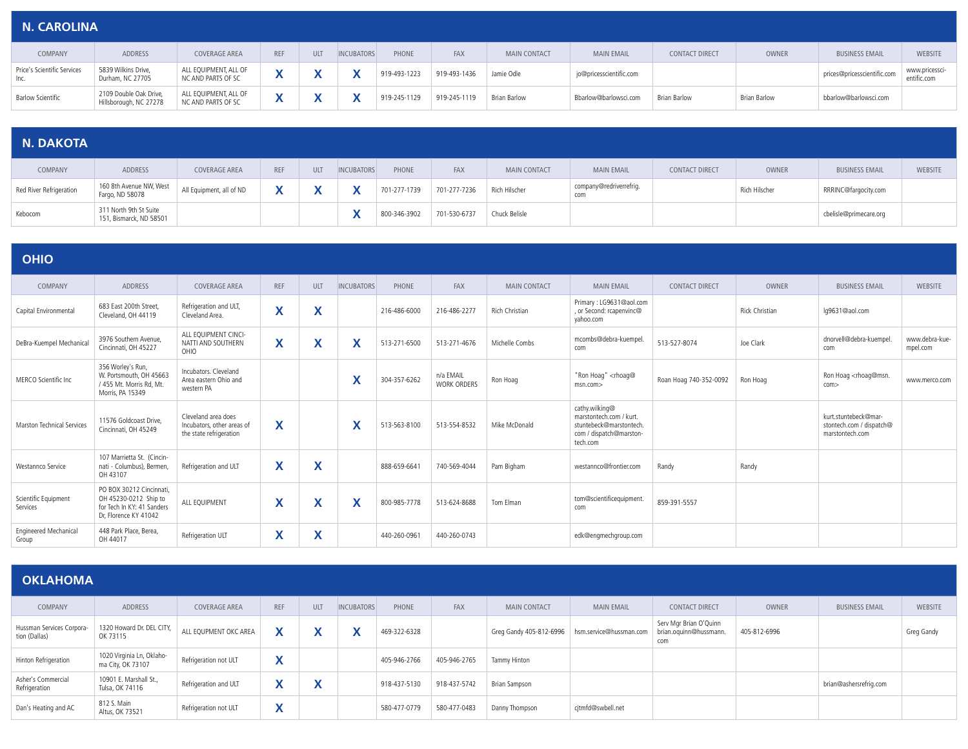| <b>N. CAROLINA</b>                  |                                                  |                                             |            |            |                   |              |              |              |                         |                       |                     |                             |                               |
|-------------------------------------|--------------------------------------------------|---------------------------------------------|------------|------------|-------------------|--------------|--------------|--------------|-------------------------|-----------------------|---------------------|-----------------------------|-------------------------------|
| COMPANY                             | ADDRESS                                          | <b>COVERAGE AREA</b>                        | <b>REF</b> | <b>ULT</b> | <b>INCUBATORS</b> | PHONE        | <b>FAX</b>   | MAIN CONTACT | <b>MAIN EMAIL</b>       | <b>CONTACT DIRECT</b> | OWNER               | <b>BUSINESS EMAIL</b>       | <b>WEBSITE</b>                |
| Price's Scientific Services<br>Inc. | 5839 Wilkins Drive,<br>Durham, NC 27705          | ALL EQUIPMENT, ALL OF<br>NC AND PARTS OF SC |            |            |                   | 919-493-1223 | 919-493-1436 | Jamie Odle   | jo@pricesscientific.com |                       |                     | prices@pricesscientific.com | www.pricessci-<br>entific.com |
| <b>Barlow Scientific</b>            | 2109 Double Oak Drive,<br>Hillsborough, NC 27278 | ALL EQUIPMENT, ALL OF<br>NC AND PARTS OF SC | ↗          |            |                   | 919-245-1129 | 919-245-1119 | Brian Barlow | Bbarlow@barlowsci.com   | Brian Barlow          | <b>Brian Barlow</b> | bbarlow@barlowsci.com       |                               |

| N. DAKOTA |  |
|-----------|--|
|           |  |

| <b>IN PARVIA</b>        |                                                   |                          |            |            |                   |              |              |                     |                                |                       |               |                        |         |
|-------------------------|---------------------------------------------------|--------------------------|------------|------------|-------------------|--------------|--------------|---------------------|--------------------------------|-----------------------|---------------|------------------------|---------|
| COMPANY                 | ADDRESS                                           | COVERAGE AREA            | <b>REF</b> | <b>ULT</b> | <b>INCUBATORS</b> | PHONE        | FAX          | <b>MAIN CONTACT</b> | <b>MAIN EMAIL</b>              | <b>CONTACT DIRECT</b> | <b>OWNER</b>  | <b>BUSINESS EMAIL</b>  | WEBSITE |
| Red River Refrigeration | 160 8th Avenue NW, West<br>Fargo, ND 58078        | All Equipment, all of ND |            |            | Χ                 | 701-277-1739 | 701-277-7236 | Rich Hilscher       | company@redriverrefrig.<br>com |                       | Rich Hilscher | RRRINC@fargocity.com   |         |
| Kebocom                 | 311 North 9th St Suite<br>151, Bismarck, ND 58501 |                          |            |            |                   | 800-346-3902 | 701-530-6737 | Chuck Belisle       |                                |                       |               | cbelisle@primecare.org |         |

| <b>OHIO</b>                       |                                                                                                          |                                                                              |                         |                             |                   |              |                                 |                     |                                                                                                             |                        |                       |                                                                     |                            |
|-----------------------------------|----------------------------------------------------------------------------------------------------------|------------------------------------------------------------------------------|-------------------------|-----------------------------|-------------------|--------------|---------------------------------|---------------------|-------------------------------------------------------------------------------------------------------------|------------------------|-----------------------|---------------------------------------------------------------------|----------------------------|
| COMPANY                           | <b>ADDRESS</b>                                                                                           | <b>COVERAGE AREA</b>                                                         | <b>REF</b>              | <b>ULT</b>                  | <b>INCUBATORS</b> | PHONE        | FAX                             | <b>MAIN CONTACT</b> | <b>MAIN EMAIL</b>                                                                                           | <b>CONTACT DIRECT</b>  | OWNER                 | <b>BUSINESS EMAIL</b>                                               | <b>WEBSITE</b>             |
| Capital Environmental             | 683 East 200th Street.<br>Cleveland, OH 44119                                                            | Refrigeration and ULT,<br>Cleveland Area.                                    | $\overline{\mathsf{X}}$ | X                           |                   | 216-486-6000 | 216-486-2277                    | Rich Christian      | Primary: LG9631@aol.com<br>, or Second: rcapenvinc@<br>vahoo.com                                            |                        | <b>Rick Christian</b> | lq9631@aol.com                                                      |                            |
| DeBra-Kuempel Mechanical          | 3976 Southern Avenue.<br>Cincinnati, OH 45227                                                            | ALL EOUIPMENT CINCI-<br>NATTI AND SOUTHERN<br>OHIO                           | X                       | X                           | X                 | 513-271-6500 | 513-271-4676                    | Michelle Combs      | mcombs@debra-kuempel.<br>com                                                                                | 513-527-8074           | Joe Clark             | dnorvell@debra-kuempel.<br>com                                      | www.debra-kue-<br>mpel.com |
| MERCO Scientific Inc              | 356 Worley's Run,<br>W. Portsmouth, OH 45663<br>/ 455 Mt. Morris Rd, Mt.<br>Morris, PA 15349             | Incubators, Cleveland<br>Area eastern Ohio and<br>western PA                 |                         |                             | X                 | 304-357-6262 | n/a EMAIL<br><b>WORK ORDERS</b> | Ron Hoag            | "Ron Hoag" <rhoag@<br>msn.com&gt;</rhoag@<br>                                                               | Roan Hoag 740-352-0092 | Ron Hoag              | Ron Hoag <rhoag@msn<br>com</rhoag@msn<br>                           | www.merco.com              |
| <b>Marston Technical Services</b> | 11576 Goldcoast Drive.<br>Cincinnati, OH 45249                                                           | Cleveland area does<br>Incubators, other areas of<br>the state refrigeration | X                       |                             | X                 | 513-563-8100 | 513-554-8532                    | Mike McDonald       | cathy.wilking@<br>marstontech.com / kurt.<br>stuntebeck@marstontech.<br>com / dispatch@marston-<br>tech.com |                        |                       | kurt.stuntebeck@mar-<br>stontech.com / dispatch@<br>marstontech.com |                            |
| Westannco Service                 | 107 Marrietta St. (Cincin-<br>nati - Columbus), Bermen,<br>OH 43107                                      | Refrigeration and ULT                                                        | X                       | X                           |                   | 888-659-6641 | 740-569-4044                    | Pam Bigham          | westannco@frontier.com                                                                                      | Randy                  | Randv                 |                                                                     |                            |
| Scientific Equipment<br>Services  | PO BOX 30212 Cincinnati.<br>OH 45230-0212 Ship to<br>for Tech In KY: 41 Sanders<br>Dr, Florence KY 41042 | ALL EQUIPMENT                                                                | X                       | X                           | X                 | 800-985-7778 | 513-624-8688                    | Tom Flman           | tom@scientificequipment.<br>com                                                                             | 859-391-5557           |                       |                                                                     |                            |
| Engineered Mechanical<br>Group    | 448 Park Place, Berea,<br>OH 44017                                                                       | Refrigeration ULT                                                            | X                       | v<br>$\boldsymbol{\Lambda}$ |                   | 440-260-0961 | 440-260-0743                    |                     | edk@engmechgroup.com                                                                                        |                        |                       |                                                                     |                            |

| <b>OKLAHOMA</b>                            |                                                |                       |                              |        |                   |              |              |                         |                         |                                                         |              |                        |                |
|--------------------------------------------|------------------------------------------------|-----------------------|------------------------------|--------|-------------------|--------------|--------------|-------------------------|-------------------------|---------------------------------------------------------|--------------|------------------------|----------------|
| COMPANY                                    | ADDRESS                                        | <b>COVERAGE AREA</b>  | <b>REF</b>                   | ULT    | <b>INCUBATORS</b> | PHONE        | FAX          | <b>MAIN CONTACT</b>     | <b>MAIN EMAIL</b>       | <b>CONTACT DIRECT</b>                                   | OWNER        | <b>BUSINESS EMAIL</b>  | <b>WEBSITE</b> |
| Hussman Services Corpora-<br>tion (Dallas) | 1320 Howard Dr. DEL CITY,<br>OK 73115          | ALL EQUPMENT OKC AREA | v                            | v      | $\mathbf{v}$      | 469-322-6328 |              | Greg Gandy 405-812-6996 | hsm.service@hussman.com | Serv Mgr Brian O'Quinn<br>brian.oquinn@hussmann.<br>com | 405-812-6996 |                        | Greg Gandy     |
| Hinton Refrigeration                       | 1020 Virginia Ln, Oklaho-<br>ma City, OK 73107 | Refrigeration not ULT | $\mathbf{v}$<br>Λ            |        |                   | 405-946-2766 | 405-946-2765 | Tammy Hinton            |                         |                                                         |              |                        |                |
| Asher's Commercial<br>Refrigeration        | 10901 E. Marshall St.,<br>Tulsa, OK 74116      | Refrigeration and ULT | $\checkmark$<br>$\mathbf{v}$ | v<br>́ |                   | 918-437-5130 | 918-437-5742 | Brian Sampson           |                         |                                                         |              | brian@ashersrefrig.com |                |
| Dan's Heating and AC                       | 812 S. Main<br>Altus, OK 73521                 | Refrigeration not ULT | $\mathbf{v}$                 |        |                   | 580-477-0779 | 580-477-0483 | Danny Thompson          | citmfd@swbell.net       |                                                         |              |                        |                |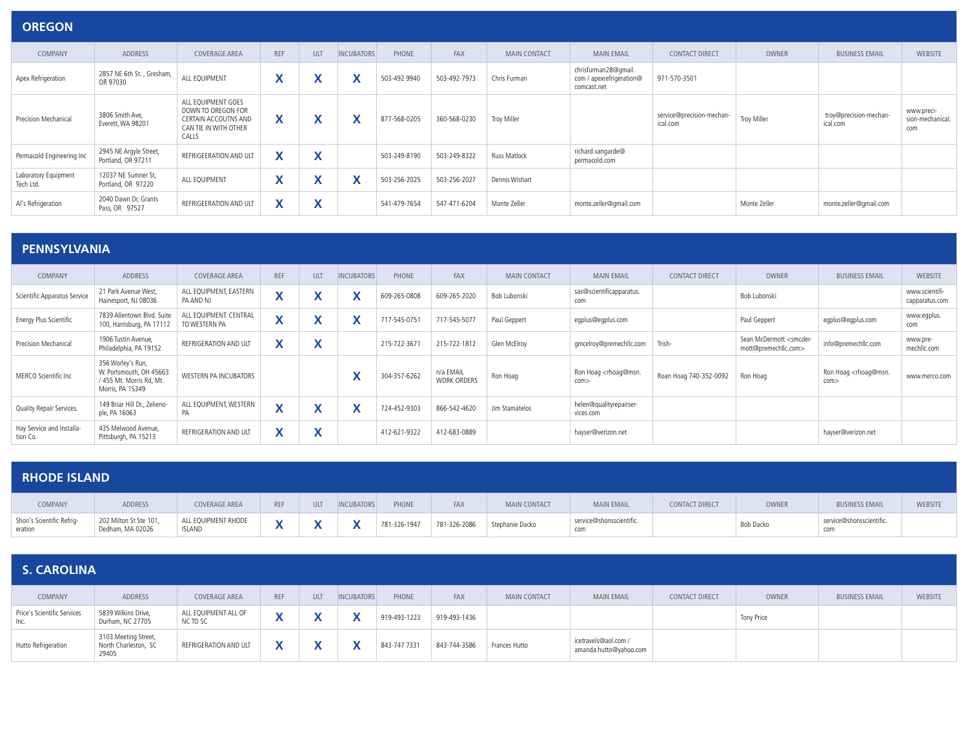| <b>OREGON</b>                     |                                              |                                                                                                           |                                           |            |                                    |              |              |                     |                                                                 |                                       |              |                                    |                                       |
|-----------------------------------|----------------------------------------------|-----------------------------------------------------------------------------------------------------------|-------------------------------------------|------------|------------------------------------|--------------|--------------|---------------------|-----------------------------------------------------------------|---------------------------------------|--------------|------------------------------------|---------------------------------------|
| COMPANY                           | ADDRESS                                      | <b>COVERAGE AREA</b>                                                                                      | <b>REF</b>                                | <b>ULT</b> | <b>INCUBATORS</b>                  | PHONE        | FAX          | <b>MAIN CONTACT</b> | <b>MAIN EMAIL</b>                                               | <b>CONTACT DIRECT</b>                 | OWNER        | <b>BUSINESS EMAIL</b>              | <b>WEBSITE</b>                        |
| Apex Refrigeration                | 2857 NE 6th St., Gresham,<br>OR 97030        | ALL EQUIPMENT                                                                                             | $\mathbf v$<br>$\mathbf{v}$               | X          | $\mathbf{v}$<br>$\mathbf{\Lambda}$ | 503-492 9940 | 503-492-7973 | Chris Furman        | chrisfurman28@gmail.<br>com / apexrefrigeration@<br>comcast.net | 971-570-3501                          |              |                                    |                                       |
| Precision Mechanical              | 3806 Smith Ave,<br>Everett, WA 98201         | ALL EQUIPMENT GOES<br>DOWN TO OREGON FOR<br><b>CERTAIN ACCOUTNS AND</b><br>CAN TIE IN WITH OTHER<br>CALLS | $\checkmark$<br>$\mathbf{A}$              | X          | $\mathbf{v}$<br>$\lambda$          | 877-568-0205 | 360-568-0230 | Troy Miller         |                                                                 | service@precision-mechan-<br>ical.com | Troy Miller  | troy@precision-mechan-<br>ical.com | www.preci-<br>sion-mechanical.<br>com |
| Permacold Engineering Inc         | 2945 NE Argyle Street,<br>Portland, OR 97211 | REFRIGEERATION AND ULT                                                                                    | $\checkmark$<br>$\boldsymbol{\mathsf{A}}$ | X          |                                    | 503-249-8190 | 503-249-8322 | Russ Matlock        | richard.vangarde@<br>permacold.com                              |                                       |              |                                    |                                       |
| Laboratory Equipment<br>Tech Ltd. | 12037 NE Sumner St,<br>Portland, OR 97220    | ALL EQUIPMENT                                                                                             | $\checkmark$<br>́                         | X          | $\mathbf{v}$<br>$\lambda$          | 503-256-2025 | 503-256-2027 | Dennis Wishart      |                                                                 |                                       |              |                                    |                                       |
| Al's Refrigeration                | 2040 Dawn Dr, Grants<br>Pass, OR 97527       | REFRIGEERATION AND ULT                                                                                    | X                                         | X          |                                    | 541-479-7654 | 547-471-6204 | Monte Zeller        | monte.zeller@gmail.com                                          |                                       | Monte Zeller | monte.zeller@gmail.com             |                                       |

#### **PENNSYLVANIA**

| COMPANY                               | ADDRESS                                                                                      | <b>COVERAGE AREA</b>                    | <b>REF</b>                 | ULT               | <b>INCUBATORS</b>            | PHONE        | <b>FAX</b>                      | <b>MAIN CONTACT</b> | <b>MAIN EMAIL</b>                           | <b>CONTACT DIRECT</b>  | OWNER                                                           | <b>BUSINESS EMAIL</b>                           | <b>WEBSITE</b>                   |
|---------------------------------------|----------------------------------------------------------------------------------------------|-----------------------------------------|----------------------------|-------------------|------------------------------|--------------|---------------------------------|---------------------|---------------------------------------------|------------------------|-----------------------------------------------------------------|-------------------------------------------------|----------------------------------|
| Scientific Apparatus Service          | 21 Park Avenue West,<br>Hainesport, NJ 08036                                                 | ALL EQUIPMENT, EASTERN<br>PA AND NJ     | $\mathbf{v}$<br>$\sqrt{ }$ |                   |                              | 609-265-0808 | 609-265-2020                    | Bob Lubonski        | sas@scientificapparatus.<br>com             |                        | Bob Lubonski                                                    |                                                 | www.scientifi-<br>capparatus.com |
| Energy Plus Scientific                | 7839 Allentown Blvd. Suite<br>100, Harrisburg, PA 17112                                      | ALL EQUIPMENT. CENTRAL<br>TO WESTERN PA | $\mathbf{v}$<br>$\lambda$  | $\mathbf{v}$      | $\mathbf{v}$<br>$\mathbf{v}$ | 717-545-0751 | 717-545-5077                    | Paul Geppert        | egplus@egplus.com                           |                        | Paul Geppert                                                    | eqplus@eqplus.com                               | www.egplus.<br>com               |
| Precision Mechanical                  | 1906 Tustin Avenue,<br>Philadelphia, PA 19152                                                | REFRIGERATION AND ULT                   | v                          | $\mathbf{v}$      |                              | 215-722-3671 | 215-722-1812                    | Glen McElroy        | gmcelroy@premechllc.com                     | Trish-                 | Sean McDermott <smcder-<br>mott@premechllc.com&gt;</smcder-<br> | info@premechllc.com                             | www.pre-<br>mechllc.com          |
| MERCO Scientific Inc.                 | 356 Worley's Run,<br>W. Portsmouth, OH 45663<br>/ 455 Mt. Morris Rd, Mt.<br>Morris, PA 15349 | WESTERN PA INCUBATORS                   |                            |                   | $\mathbf{v}$<br>$\mathbf{v}$ | 304-357-6262 | n/a EMAIL<br><b>WORK ORDERS</b> | Ron Hoag            | Ron Hoag <rhoag@msn.<br>com</rhoag@msn.<br> | Roan Hoag 740-352-0092 | Ron Hoag                                                        | Ron Hoag <rhoag@msn.<br>com&gt;</rhoag@msn.<br> | www.merco.com                    |
| Quality Repair Services.              | 149 Briar Hill Dr., Zelieno-<br>ple, PA 16063                                                | ALL EQUIPMENT, WESTERN                  | $\mathbf{v}$<br>$\sqrt{ }$ | $\mathbf{v}$      | $\mathbf{v}$<br>$\mathbf{v}$ | 724-452-9303 | 866-542-4620                    | Jim Stamatelos      | helen@qualityrepairser-<br>vices.com        |                        |                                                                 |                                                 |                                  |
| Hay Service and Installa-<br>tion Co. | 435 Melwood Avenue,<br>Pittsburgh, PA 15213                                                  | REFRIGERATION AND ULT                   | v                          | $\mathbf{v}$<br>Λ |                              | 412-621-9322 | 412-683-0889                    |                     | hayser@verizon.net                          |                        |                                                                 | hayser@verizon.net                              |                                  |

| <b>RHODE ISLAND</b>                  |                                            |                               |            |            |                          |              |              |                     |                                 |                       |           |                                |         |
|--------------------------------------|--------------------------------------------|-------------------------------|------------|------------|--------------------------|--------------|--------------|---------------------|---------------------------------|-----------------------|-----------|--------------------------------|---------|
| COMPANY                              | <b>ADDRESS</b>                             | COVERAGE AREA                 | <b>REF</b> | <b>ULT</b> | <b>INCUBATORS</b>        | PHONE        | <b>FAX</b>   | <b>MAIN CONTACT</b> | <b>MAIN EMAIL</b>               | <b>CONTACT DIRECT</b> | OWNER     | <b>BUSINESS EMAIL</b>          | WEBSITE |
| Shon's Scientific Refrig-<br>eration | 202 Milton St Ste 101,<br>Dedham, MA 02026 | ALL EQUIPMENT RHODE<br>ISLAND |            |            | $\overline{\phantom{a}}$ | 781-326-1947 | 781-326-2086 | Stephanie Dacko     | service@shonsscientific.<br>com |                       | Bob Dacko | service@shonsscientific<br>com |         |

| <b>S. CAROLINA</b>                  |                                                       |                                  |                          |            |                   |              |              |               |                                                |                |                   |                       |         |
|-------------------------------------|-------------------------------------------------------|----------------------------------|--------------------------|------------|-------------------|--------------|--------------|---------------|------------------------------------------------|----------------|-------------------|-----------------------|---------|
| COMPANY                             | ADDRESS                                               | COVERAGE AREA                    | <b>REF</b>               | <b>ULT</b> | <b>INCUBATORS</b> | PHONE        | FAX          | MAIN CONTACT  | <b>MAIN EMAIL</b>                              | CONTACT DIRECT | <b>OWNER</b>      | <b>BUSINESS EMAIL</b> | WEBSITE |
| Price's Scientific Services<br>Inc. | 5839 Wilkins Drive,<br>Durham, NC 27705               | ALL EQUIPMENT ALL OF<br>NC TO SC | $\overline{\phantom{a}}$ |            | $\mathbf{v}$      | 919-493-1223 | 919-493-1436 |               |                                                |                | <b>Tony Price</b> |                       |         |
| Hutto Refrigeration                 | 3103 Meeting Street,<br>North Charleston, SC<br>29405 | REFRIGERATION AND ULT            | $\checkmark$             |            | $\mathbf{v}$<br>Λ | 843-747 7331 | 843-744-3586 | Frances Hutto | icetravels@aol.com /<br>amanda.hutto@yahoo.com |                |                   |                       |         |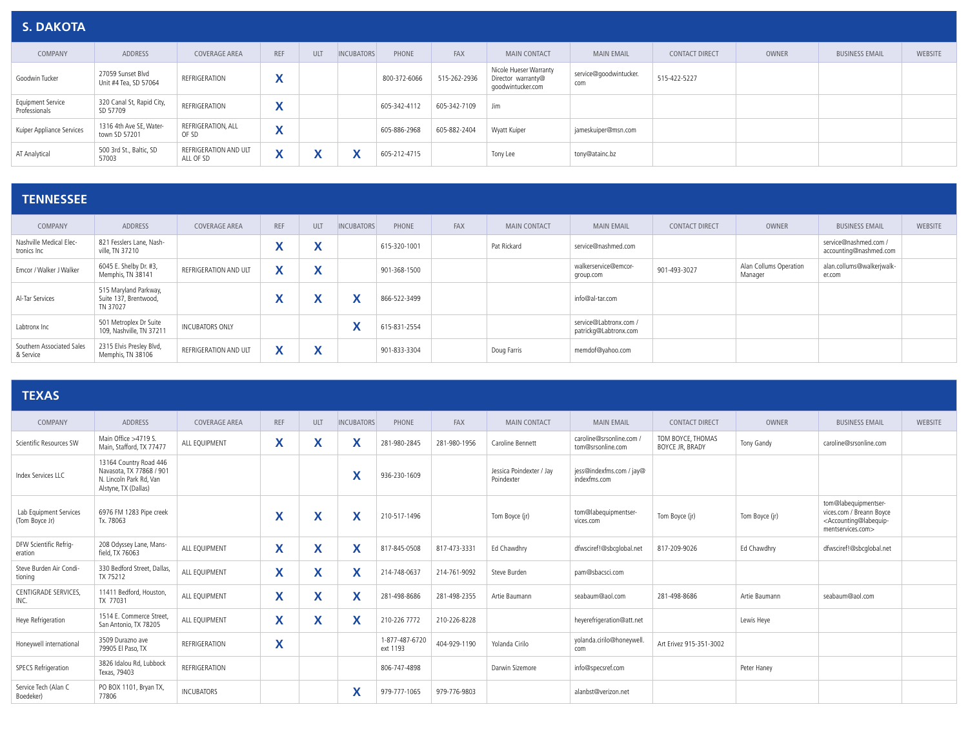| <b>S. DAKOTA</b>                          |                                            |                                    |                           |            |                   |              |              |                                                                   |                               |                       |       |                       |                |
|-------------------------------------------|--------------------------------------------|------------------------------------|---------------------------|------------|-------------------|--------------|--------------|-------------------------------------------------------------------|-------------------------------|-----------------------|-------|-----------------------|----------------|
| COMPANY                                   | ADDRESS                                    | <b>COVERAGE AREA</b>               | <b>REF</b>                | ULT        | <b>INCUBATORS</b> | PHONE        | <b>FAX</b>   | <b>MAIN CONTACT</b>                                               | <b>MAIN EMAIL</b>             | <b>CONTACT DIRECT</b> | OWNER | <b>BUSINESS EMAIL</b> | <b>WEBSITE</b> |
| Goodwin Tucker                            | 27059 Sunset Blvd<br>Unit #4 Tea, SD 57064 | REFRIGERATION                      | $\mathbf{v}$<br>$\lambda$ |            |                   | 800-372-6066 | 515-262-2936 | Nicole Hueser Warranty<br>Director warranty@<br>goodwintucker.com | service@goodwintucker.<br>com | 515-422-5227          |       |                       |                |
| <b>Equipment Service</b><br>Professionals | 320 Canal St, Rapid City,<br>SD 57709      | REFRIGERATION                      | v<br>$\lambda$            |            |                   | 605-342-4112 | 605-342-7109 | Jim                                                               |                               |                       |       |                       |                |
| Kuiper Appliance Services                 | 1316 4th Ave SE, Water-<br>town SD 57201   | REFRIGERATION, ALL<br>OF SD        | $\mathbf{v}$              |            |                   | 605-886-2968 | 605-882-2404 | Wyatt Kuiper                                                      | jameskuiper@msn.com           |                       |       |                       |                |
| AT Analytical                             | 500 3rd St., Baltic, SD<br>57003           | REFRIGERATION AND ULT<br>ALL OF SD | $\boldsymbol{\Lambda}$    | $\sqrt{ }$ | v                 | 605-212-4715 |              | Tony Lee                                                          | tony@atainc.bz                |                       |       |                       |                |

#### **TENNESSEE**

| COMPANY                                | ADDRESS                                                    | <b>COVERAGE AREA</b>   | <b>REF</b> | ULT             | <b>INCUBATORS</b> | PHONE        | FAX | <b>MAIN CONTACT</b> | <b>MAIN EMAIL</b>                               | <b>CONTACT DIRECT</b> | OWNER                             | <b>BUSINESS EMAIL</b>                           | <b>WEBSITE</b> |
|----------------------------------------|------------------------------------------------------------|------------------------|------------|-----------------|-------------------|--------------|-----|---------------------|-------------------------------------------------|-----------------------|-----------------------------------|-------------------------------------------------|----------------|
| Nashville Medical Elec-<br>tronics Inc | 821 Fesslers Lane, Nash-<br>ville. TN 37210                |                        |            | w               |                   | 615-320-1001 |     | Pat Rickard         | service@nashmed.com                             |                       |                                   | service@nashmed.com /<br>accounting@nashmed.com |                |
| Emcor / Walker J Walker                | 6045 E. Shelby Dr. #3,<br>Memphis, TN 38141                | REFRIGERATION AND ULT  | v<br>Λ     | w<br>$\sqrt{ }$ |                   | 901-368-1500 |     |                     | walkerservice@emcor-<br>group.com               | 901-493-3027          | Alan Collums Operation<br>Manager | alan.collums@walkerjwalk-<br>er.com             |                |
| Al-Tar Services                        | 515 Maryland Parkway,<br>Suite 137, Brentwood,<br>TN 37027 |                        |            |                 | $\mathbf{v}$      | 866-522-3499 |     |                     | info@al-tar.com                                 |                       |                                   |                                                 |                |
| Labtronx Inc                           | 501 Metroplex Dr Suite<br>109, Nashville, TN 37211         | <b>INCUBATORS ONLY</b> |            |                 | $\mathbf{v}$<br>́ | 615-831-2554 |     |                     | service@Labtronx.com /<br>patrickg@Labtronx.com |                       |                                   |                                                 |                |
| Southern Associated Sales<br>& Service | 2315 Elvis Presley Blvd,<br>Memphis, TN 38106              | REFRIGERATION AND ULT  | v          | w               |                   | 901-833-3304 |     | Doug Farris         | memdof@yahoo.com                                |                       |                                   |                                                 |                |

#### **TEXAS**

| COMPANY                                  | ADDRESS                                                                                               | <b>COVERAGE AREA</b> | <b>REF</b>                            | <b>ULT</b> | <b>INCUBATORS</b> | PHONE                      | FAX          | <b>MAIN CONTACT</b>                    | <b>MAIN EMAIL</b>                             | <b>CONTACT DIRECT</b>                | OWNER          | <b>BUSINESS EMAIL</b>                                                                                                       | <b>WEBSITE</b> |
|------------------------------------------|-------------------------------------------------------------------------------------------------------|----------------------|---------------------------------------|------------|-------------------|----------------------------|--------------|----------------------------------------|-----------------------------------------------|--------------------------------------|----------------|-----------------------------------------------------------------------------------------------------------------------------|----------------|
| Scientific Resources SW                  | Main Office >4719 S.<br>Main, Stafford, TX 77477                                                      | ALL EOUIPMENT        | X                                     | Χ          | ⋏                 | 281-980-2845               | 281-980-1956 | Caroline Bennett                       | caroline@srsonline.com /<br>tom@srsonline.com | TOM BOYCE. THOMAS<br>BOYCE JR, BRADY | Tony Gandy     | caroline@srsonline.com                                                                                                      |                |
| Index Services LLC                       | 13164 Country Road 446<br>Navasota, TX 77868 / 901<br>N. Lincoln Park Rd. Van<br>Alstyne, TX (Dallas) |                      |                                       |            | $\checkmark$      | 936-230-1609               |              | Jessica Poindexter / Jay<br>Poindexter | jess@indexfms.com / jay@<br>indexfms.com      |                                      |                |                                                                                                                             |                |
| Lab Equipment Services<br>(Tom Boyce Jr) | 6976 FM 1283 Pipe creek<br>Tx. 78063                                                                  |                      | $\mathbf{v}$                          | X          | X                 | 210-517-1496               |              | Tom Boyce (ir)                         | tom@labequipmentser-<br>vices.com             | Tom Boyce (jr)                       | Tom Boyce (ir) | tom@labequipmentser-<br>vices.com / Breann Boyce<br><accounting@labequip-<br>mentservices.com&gt;</accounting@labequip-<br> |                |
| DFW Scientific Refrig-<br>eration        | 208 Odyssey Lane, Mans-<br>field, TX 76063                                                            | ALL EQUIPMENT        | X                                     | X          | X                 | 817-845-0508               | 817-473-3331 | Ed Chawdhry                            | dfwsciref!@sbcqlobal.net                      | 817-209-9026                         | Ed Chawdhry    | dfwsciref!@sbcqlobal.net                                                                                                    |                |
| Steve Burden Air Condi-<br>tionina       | 330 Bedford Street, Dallas,<br>TX 75212                                                               | ALL EQUIPMENT        | X                                     | X          | $\checkmark$      | 214-748-0637               | 214-761-9092 | Steve Burden                           | pam@sbacsci.com                               |                                      |                |                                                                                                                             |                |
| CENTIGRADE SERVICES.<br>INC.             | 11411 Bedford, Houston<br>TX 77031                                                                    | ALL EQUIPMENT        | X                                     | X          | X                 | 281-498-8686               | 281-498-2355 | Artie Baumann                          | seabaum@aol.com                               | 281-498-8686                         | Artie Baumann  | seabaum@aol.com                                                                                                             |                |
| Heye Refrigeration                       | 1514 E. Commerce Street<br>San Antonio, TX 78205                                                      | ALL EQUIPMENT        | $\checkmark$<br>$\mathbf{v}$          | X          | X                 | 210-226 7772               | 210-226-8228 |                                        | heyerefrigeration@att.net                     |                                      | Lewis Heye     |                                                                                                                             |                |
| Honeywell international                  | 3509 Durazno ave<br>79905 El Paso, TX                                                                 | REFRIGERATION        | $\overline{\phantom{a}}$<br>$\lambda$ |            |                   | 1-877-487-6720<br>ext 1193 | 404-929-1190 | Yolanda Cirilo                         | yolanda.cirilo@honeywell.<br>com              | Art Erivez 915-351-3002              |                |                                                                                                                             |                |
| <b>SPECS Refrigeration</b>               | 3826 Idalou Rd. Lubbock<br>Texas, 79403                                                               | REFRIGERATION        |                                       |            |                   | 806-747-4898               |              | Darwin Sizemore                        | info@specsref.com                             |                                      | Peter Hanev    |                                                                                                                             |                |
| Service Tech (Alan C<br>Boedeker)        | PO BOX 1101, Bryan TX,<br>77806                                                                       | <b>INCUBATORS</b>    |                                       |            | X                 | 979-777-1065               | 979-776-9803 |                                        | alanbst@verizon.net                           |                                      |                |                                                                                                                             |                |
|                                          |                                                                                                       |                      |                                       |            |                   |                            |              |                                        |                                               |                                      |                |                                                                                                                             |                |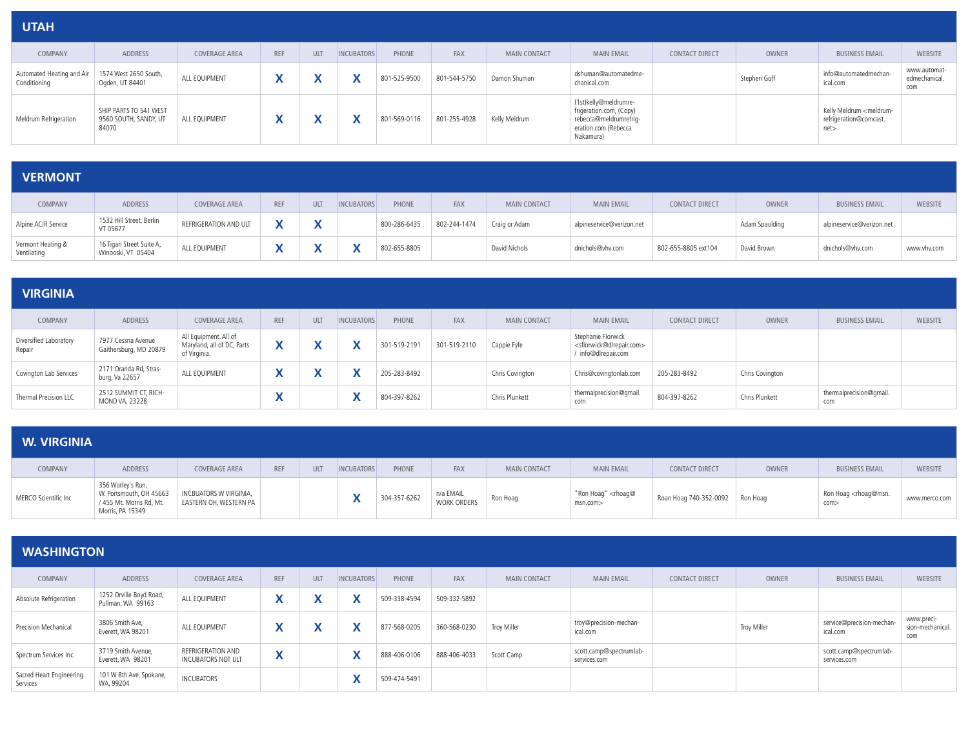| <b>UTAH</b>                               |                                                          |               |            |     |                   |              |              |                     |                                                                                                                 |                       |              |                                                                         |                                      |
|-------------------------------------------|----------------------------------------------------------|---------------|------------|-----|-------------------|--------------|--------------|---------------------|-----------------------------------------------------------------------------------------------------------------|-----------------------|--------------|-------------------------------------------------------------------------|--------------------------------------|
| COMPANY                                   | ADDRESS                                                  | COVERAGE AREA | <b>REF</b> | ULT | <b>INCUBATORS</b> | PHONE        | FAX          | <b>MAIN CONTACT</b> | <b>MAIN EMAIL</b>                                                                                               | <b>CONTACT DIRECT</b> | OWNER        | <b>BUSINESS EMAIL</b>                                                   | <b>WEBSITE</b>                       |
| Automated Heating and Air<br>Conditioning | 1574 West 2650 South,<br>Ogden, UT 84401                 | ALL EQUIPMENT |            |     |                   | 801-525-9500 | 801-544-5750 | Damon Shuman        | dshuman@automatedme-<br>chanical.com                                                                            |                       | Stephen Goff | info@automatedmechan-<br>ical.com                                       | www.automat-<br>edmechanical.<br>com |
| Meldrum Refrigeration                     | SHIP PARTS TO 541 WEST<br>9560 SOUTH, SANDY, UT<br>84070 | ALL EQUIPMENT | Λ          |     |                   | 801-569-0116 | 801-255-4928 | Kelly Meldrum       | (1st)kelly@meldrumre-<br>frigeration.com, (Copy)<br>rebecca@meldrumrefrig-<br>eration.com (Rebecca<br>Nakamura) |                       |              | Kelly Meldrum <meldrum-<br>refrigeration@comcast.<br/>net</meldrum-<br> |                                      |

| <b>VERMONT</b>                   |                                                |                       |              |              |                   |              |              |                     |                           |                       |                |                           |                |
|----------------------------------|------------------------------------------------|-----------------------|--------------|--------------|-------------------|--------------|--------------|---------------------|---------------------------|-----------------------|----------------|---------------------------|----------------|
| COMPANY                          | ADDRESS                                        | COVERAGE AREA         | <b>REF</b>   | ULT          | <b>INCUBATORS</b> | PHONE        | <b>FAX</b>   | <b>MAIN CONTACT</b> | <b>MAIN EMAIL</b>         | <b>CONTACT DIRECT</b> | <b>OWNER</b>   | <b>BUSINESS EMAIL</b>     | <b>WEBSITE</b> |
| Alpine ACIR Service              | 1532 Hill Street, Berlin<br>VT 05677           | REFRIGERATION AND ULT | v            | $\checkmark$ |                   | 800-286-6435 | 802-244-1474 | Craig or Adam       | alpineservice@verizon.net |                       | Adam Spaulding | alpineservice@verizon.net |                |
| Vermont Heating &<br>Ventilating | 16 Tigan Street Suite A,<br>Winooski, VT 05404 | ALL EQUIPMENT         | $\mathbf{v}$ | w            |                   | 802-655-8805 |              | David Nichols       | dnichols@vhv.com          | 802-655-8805 ext104   | David Brown    | dnichols@vhv.com          | www.vhv.com    |

| <b>VIRGINIA</b>                  |                                              |                                                                     |            |            |                   |              |              |                     |                                                                                               |                       |                 |                                |                |
|----------------------------------|----------------------------------------------|---------------------------------------------------------------------|------------|------------|-------------------|--------------|--------------|---------------------|-----------------------------------------------------------------------------------------------|-----------------------|-----------------|--------------------------------|----------------|
| COMPANY                          | ADDRESS                                      | <b>COVERAGE AREA</b>                                                | <b>REF</b> | <b>ULT</b> | <b>INCUBATORS</b> | PHONE        | <b>FAX</b>   | <b>MAIN CONTACT</b> | <b>MAIN EMAIL</b>                                                                             | <b>CONTACT DIRECT</b> | OWNER           | <b>BUSINESS EMAIL</b>          | <b>WEBSITE</b> |
| Diversified Laboratory<br>Repair | 7977 Cessna Avenue<br>Gaithersburg, MD 20879 | All Equipment. All of<br>Maryland, all of DC, Parts<br>of Virginia. |            |            |                   | 301-519-2191 | 301-519-2110 | Cappie Fyfe         | Stephanie Florwick<br><sflorwick@dlrepair.com><br/>info@dlrepair.com</sflorwick@dlrepair.com> |                       |                 |                                |                |
| Covington Lab Services           | 2171 Oranda Rd, Stras-<br>burg, Va 22657     | ALL EQUIPMENT                                                       | v          |            |                   | 205-283-8492 |              | Chris Covington     | Chris@covingtonlab.com                                                                        | 205-283-8492          | Chris Covington |                                |                |
| Thermal Precision LLC            | 2512 SUMMIT CT, RICH-<br>MOND VA, 23228      |                                                                     |            |            | $\mathbf{v}$      | 804-397-8262 |              | Chris Plunkett      | thermalprecision@gmail.<br>com                                                                | 804-397-8262          | Chris Plunkett  | thermalprecision@gmail.<br>com |                |

#### **W. VIRGINIA**

| COMPANY              | <b>ADDRESS</b>                                                                               | <b>COVERAGE AREA</b>                                    | <b>REF</b> | <b>ULT</b> | <b>INCUBATORS</b> | PHONE        | <b>FAX</b>               | <b>MAIN CONTACT</b> | <b>MAIN EMAIL</b>                             | <b>CONTACT DIRECT</b>           | <b>OWNER</b> | <b>BUSINESS EMAIL</b>                           | <b>WEBSITE</b> |
|----------------------|----------------------------------------------------------------------------------------------|---------------------------------------------------------|------------|------------|-------------------|--------------|--------------------------|---------------------|-----------------------------------------------|---------------------------------|--------------|-------------------------------------------------|----------------|
| MERCO Scientific Inc | 356 Worley's Run,<br>W. Portsmouth, OH 45663<br>/ 455 Mt. Morris Rd, Mt.<br>Morris, PA 15349 | <b>INCBUATORS W VIRGINIA,</b><br>EASTERN OH, WESTERN PA |            |            |                   | 304-357-6262 | n/a EMAIL<br>WORK ORDERS | Ron Hoag            | "Ron Hoag" <rhoag@<br>msn.com&gt;</rhoag@<br> | Roan Hoag 740-352-0092 Ron Hoag |              | Ron Hoag <rhoag@msn.<br>com&gt;</rhoag@msn.<br> | www.merco.com  |

| <b>WASHINGTON</b>                    |                                              |                                         |                                          |     |                           |              |              |                     |                                         |                       |             |                                         |                                       |
|--------------------------------------|----------------------------------------------|-----------------------------------------|------------------------------------------|-----|---------------------------|--------------|--------------|---------------------|-----------------------------------------|-----------------------|-------------|-----------------------------------------|---------------------------------------|
| COMPANY                              | ADDRESS                                      | <b>COVERAGE AREA</b>                    | <b>REF</b>                               | ULT | <b>INCUBATORS</b>         | PHONE        | FAX          | <b>MAIN CONTACT</b> | <b>MAIN EMAIL</b>                       | <b>CONTACT DIRECT</b> | OWNER       | <b>BUSINESS EMAIL</b>                   | WEBSITE                               |
| Absolute Refrigeration               | 1252 Orville Boyd Road,<br>Pullman, WA 99163 | ALL EQUIPMENT                           |                                          |     | v                         | 509-338-4594 | 509-332-5892 |                     |                                         |                       |             |                                         |                                       |
| Precision Mechanical                 | 3806 Smith Ave,<br>Everett, WA 98201         | ALL EQUIPMENT                           | v<br>́                                   |     | $\mathbf{v}$<br>⋏         | 877-568-0205 | 360-568-0230 | Troy Miller         | troy@precision-mechan-<br>ical.com      |                       | Troy Miller | service@precision-mechan-<br>ical.com   | www.preci-<br>sion-mechanical.<br>com |
| Spectrum Services Inc.               | 3719 Smith Avenue,<br>Everett, WA 98201      | REFRIGERATION AND<br>INCUBATORS NOT ULT | $\overline{\phantom{a}}$<br>$\mathbf{v}$ |     | $\mathbf{v}$<br>$\lambda$ | 888-406-0106 | 888-406-4033 | Scott Camp          | scott.camp@spectrumlab-<br>services.com |                       |             | scott.camp@spectrumlab-<br>services.com |                                       |
| Sacred Heart Engineering<br>Services | 101 W 8th Ave, Spokane,<br>WA, 99204         | INCUBATORS                              |                                          |     |                           | 509-474-5491 |              |                     |                                         |                       |             |                                         |                                       |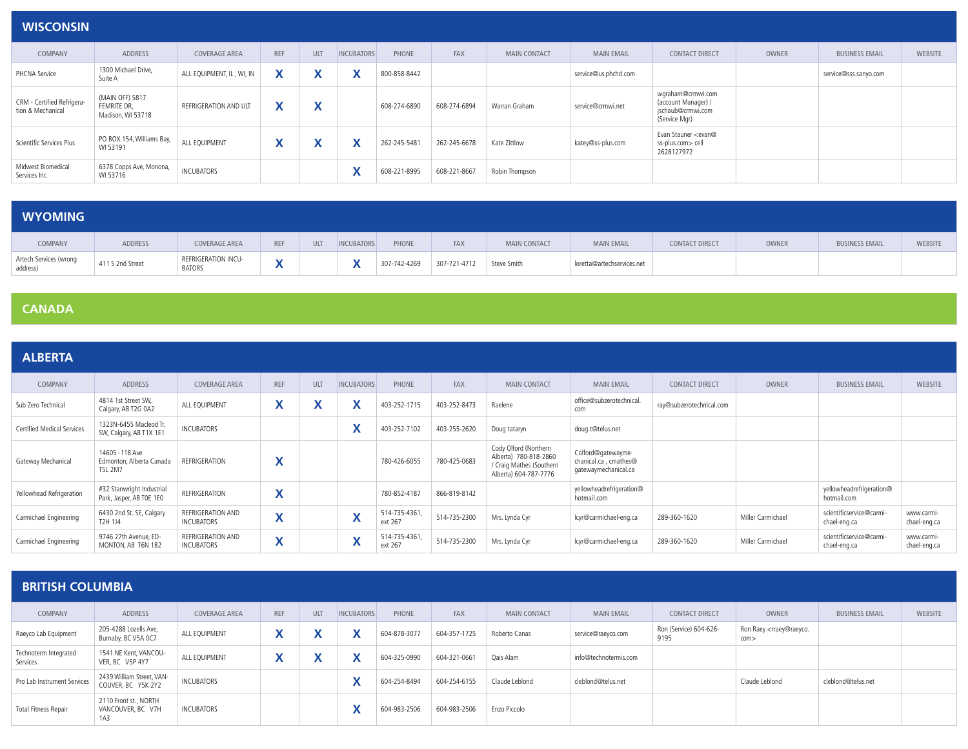| <b>WISCONSIN</b>                                |                                                     |                           |                                                |                           |                   |              |              |                     |                      |                                                                                |       |                       |                |
|-------------------------------------------------|-----------------------------------------------------|---------------------------|------------------------------------------------|---------------------------|-------------------|--------------|--------------|---------------------|----------------------|--------------------------------------------------------------------------------|-------|-----------------------|----------------|
| COMPANY                                         | ADDRESS                                             | <b>COVERAGE AREA</b>      | <b>REF</b>                                     | ULT                       | <b>INCUBATORS</b> | PHONE        | FAX          | <b>MAIN CONTACT</b> | <b>MAIN EMAIL</b>    | <b>CONTACT DIRECT</b>                                                          | OWNER | <b>BUSINESS EMAIL</b> | <b>WEBSITE</b> |
| PHCNA Service                                   | 1300 Michael Drive,<br>Suite A                      | ALL EQUIPMENT, IL, WI, IN | $\mathbf{v}$<br>$\mathbf{v}$                   | v<br>Λ                    |                   | 800-858-8442 |              |                     | service@us.phchd.com |                                                                                |       | service@sss.sanyo.com |                |
| CRM - Certified Refrigera-<br>tion & Mechanical | (MAIN OFF) 5817<br>FEMRITE DR,<br>Madison, WI 53718 | REFRIGERATION AND ULT     | $\overline{\phantom{a}}$<br>$\mathbf{\Lambda}$ | $\checkmark$<br>$\lambda$ |                   | 608-274-6890 | 608-274-6894 | Warran Graham       | service@crmwi.net    | wqraham@crmwi.com<br>(account Manager) /<br>jschaub@crmwi.com<br>(Service Mgr) |       |                       |                |
| Scientific Services Plus                        | PO BOX 154, Williams Bay,<br>WI 53191               | ALL EQUIPMENT             | $\mathbf{v}$<br>$\mathbf{\Lambda}$             | $\checkmark$<br>Λ         |                   | 262-245-5481 | 262-245-6678 | Kate Zittlow        | katey@ss-plus.com    | Evan Stauner <evan@<br>ss-plus.com&gt; cell<br/>2628127972</evan@<br>          |       |                       |                |
| Midwest Biomedical<br>Services Inc              | 6378 Copps Ave, Monona,<br>WI 53716                 | INCUBATORS                |                                                |                           | $\mathbf{v}$      | 608-221-8995 | 608-221-8667 | Robin Thompson      |                      |                                                                                |       |                       |                |

| <b>WYOMING</b>                     |                  |                                      |                                |     |                   |              |              |              |                            |                       |       |                       |                |
|------------------------------------|------------------|--------------------------------------|--------------------------------|-----|-------------------|--------------|--------------|--------------|----------------------------|-----------------------|-------|-----------------------|----------------|
| COMPANY                            | ADDRESS          | COVERAGE AREA                        | <b>REF</b>                     | ULT | <b>INCUBATORS</b> | PHONE        | FAX          | MAIN CONTACT | <b>MAIN EMAIL</b>          | <b>CONTACT DIRECT</b> | OWNER | <b>BUSINESS EMAIL</b> | <b>WEBSITE</b> |
| Artech Services (wrong<br>address) | 411 S 2nd Street | REFRIGERATION INCU-<br><b>BATORS</b> | $\overline{\phantom{a}}$<br>,, |     | $\mathbf{v}$      | 307-742-4269 | 307-721-4712 | Steve Smith  | loretta@artechservices.net |                       |       |                       |                |

#### **CANADA**

| <b>ALBERTA</b>                    |                                                        |                                        |                                        |                               |                                       |                          |              |                                                                                                     |                                                                     |                          |                   |                                          |                            |
|-----------------------------------|--------------------------------------------------------|----------------------------------------|----------------------------------------|-------------------------------|---------------------------------------|--------------------------|--------------|-----------------------------------------------------------------------------------------------------|---------------------------------------------------------------------|--------------------------|-------------------|------------------------------------------|----------------------------|
| COMPANY                           | <b>ADDRESS</b>                                         | <b>COVERAGE AREA</b>                   | <b>REF</b>                             | ULT                           | <b>INCUBATORS</b>                     | PHONE                    | FAX          | <b>MAIN CONTACT</b>                                                                                 | <b>MAIN EMAIL</b>                                                   | <b>CONTACT DIRECT</b>    | <b>OWNER</b>      | <b>BUSINESS EMAIL</b>                    | <b>WEBSITE</b>             |
| Sub Zero Technical                | 4814 1st Street SW,<br>Calgary, AB T2G 0A2             | ALL EQUIPMENT                          | v<br>$\sqrt{ }$                        | w<br>$\overline{\phantom{a}}$ | $\mathbf{v}$<br>Λ                     | 403-252-1715             | 403-252-8473 | Raelene                                                                                             | office@subzerotechnical.<br>com                                     | ray@subzerotechnical.com |                   |                                          |                            |
| <b>Certified Medical Services</b> | 1323N-6455 Macleod Tr.<br>SW, Calgary, AB T1X 1E1      | INCUBATORS                             |                                        |                               | $\overline{\phantom{a}}$<br>$\lambda$ | 403-252-7102             | 403-255-2620 | Doug tataryn                                                                                        | doug.t@telus.net                                                    |                          |                   |                                          |                            |
| Gateway Mechanical                | 14605 - 118 Ave<br>Edmonton, Alberta Canada<br>T5L 2M7 | REFRIGERATION                          | $\overline{\phantom{a}}$<br>$\sqrt{ }$ |                               |                                       | 780-426-6055             | 780-425-0683 | Cody Olford (Northern<br>Alberta) 780-818-2860<br>/ Craig Mathes (Southern<br>Alberta) 604-787-7776 | Colford@gatewayme-<br>chanical.ca, cmathes@<br>gatewaymechanical.ca |                          |                   |                                          |                            |
| Yellowhead Refrigeration          | #32 Stanwright Industrial<br>Park, Jasper, AB TOE 1EO  | REFRIGERATION                          | $\mathbf{v}$<br>$\lambda$              |                               |                                       | 780-852-4187             | 866-819-8142 |                                                                                                     | yellowheadrefrigeration@<br>hotmail.com                             |                          |                   | yellowheadrefrigeration@<br>hotmail.com  |                            |
| Carmichael Engineering            | 6430 2nd St. SE, Calgary<br>T2H 1J4                    | REFRIGERATION AND<br><b>INCUBATORS</b> | $\mathbf{v}$<br>$\sqrt{ }$             |                               | $\mathbf{v}$                          | 514-735-4361,<br>ext 267 | 514-735-2300 | Mrs. Lynda Cyr                                                                                      | lcyr@carmichael-eng.ca                                              | 289-360-1620             | Miller Carmichael | scientificservice@carmi-<br>chael-eng.ca | www.carmi-<br>chael-eng.ca |
| Carmichael Engineering            | 9746 27th Avenue, ED-<br>MONTON, AB T6N 1B2            | REFRIGERATION AND<br><b>INCUBATORS</b> | $\overline{\phantom{a}}$<br>$\sqrt{ }$ |                               | $\overline{\phantom{a}}$              | 514-735-4361,<br>ext 267 | 514-735-2300 | Mrs. Lynda Cyr                                                                                      | lcyr@carmichael-eng.ca                                              | 289-360-1620             | Miller Carmichael | scientificservice@carmi-<br>chael-eng.ca | www.carmi-<br>chael-eng.ca |

| <b>BRITISH COLUMBIA</b>           |                                                   |                      |            |                              |                   |              |              |                     |                       |                                |                                                   |                       |                |
|-----------------------------------|---------------------------------------------------|----------------------|------------|------------------------------|-------------------|--------------|--------------|---------------------|-----------------------|--------------------------------|---------------------------------------------------|-----------------------|----------------|
| COMPANY                           | ADDRESS                                           | <b>COVERAGE AREA</b> | <b>REF</b> | <b>ULT</b>                   | <b>INCUBATORS</b> | PHONE        | FAX          | <b>MAIN CONTACT</b> | <b>MAIN EMAIL</b>     | <b>CONTACT DIRECT</b>          | OWNER                                             | <b>BUSINESS EMAIL</b> | <b>WEBSITE</b> |
| Raeyco Lab Equipment              | 205-4288 Lozells Ave,<br>Burnaby, BC V5A 0C7      | ALL EQUIPMENT        | ⋀          | v<br>$\lambda$               | $\lambda$         | 604-878-3077 | 604-357-1725 | Roberto Canas       | service@raeyco.com    | Ron (Service) 604-626-<br>9195 | Ron Raey <rraey@raeyco.<br>com</rraey@raeyco.<br> |                       |                |
| Technoterm Integrated<br>Services | 1541 NE Kent, VANCOU-<br>VER. BC V5P 4Y7          | ALL EQUIPMENT        | v          | $\checkmark$<br>$\mathbf{v}$ | $\lambda$         | 604-325-0990 | 604-321-0661 | Oais Alam           | info@technotermis.com |                                |                                                   |                       |                |
| Pro Lab Instrument Services       | 2439 William Street, VAN-<br>COUVER, BC Y5K 2Y2   | INCUBATORS           |            |                              | $\mathbf{v}$<br>Λ | 604-254-8494 | 604-254-6155 | Claude Leblond      | cleblond@telus.net    |                                | Claude Leblond                                    | cleblond@telus.net    |                |
| <b>Total Fitness Repair</b>       | 2110 Front st., NORTH<br>VANCOUVER, BC V7H<br>1A3 | <b>INCUBATORS</b>    |            |                              | $\mathbf{v}$      | 604-983-2506 | 604-983-2506 | Enzo Piccolo        |                       |                                |                                                   |                       |                |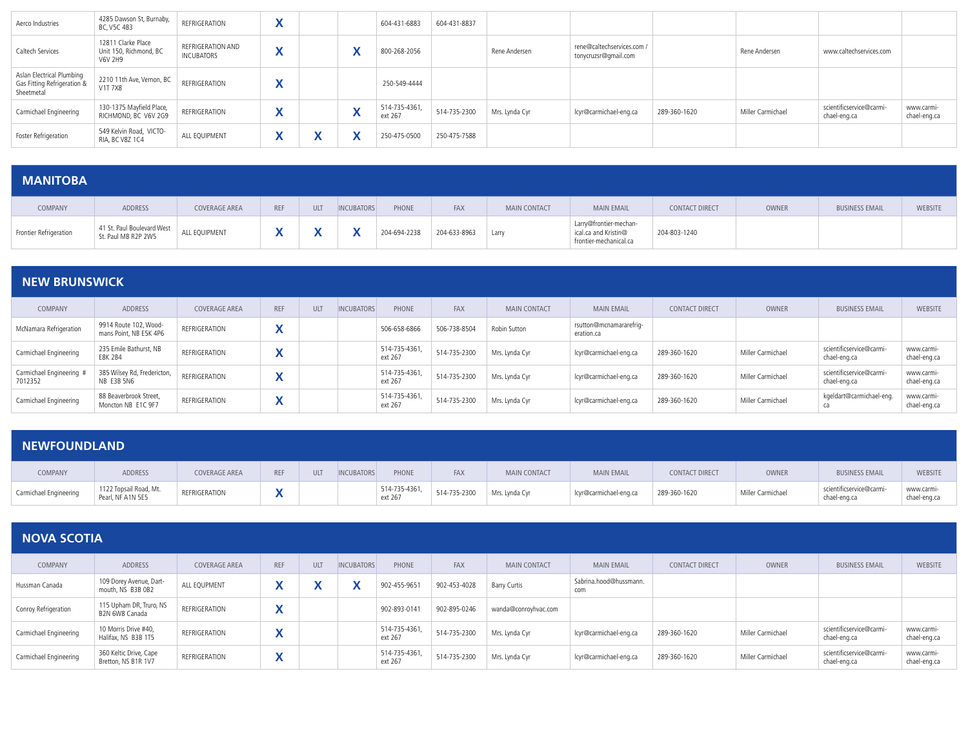| Aerco Industries                                                       | 4285 Dawson St, Burnaby,<br>BC, V5C 4B3                 | REFRIGERATION                          |                              |              | 604-431-6883             | 604-431-8837 |                |                                                    |              |                   |                                          |                            |
|------------------------------------------------------------------------|---------------------------------------------------------|----------------------------------------|------------------------------|--------------|--------------------------|--------------|----------------|----------------------------------------------------|--------------|-------------------|------------------------------------------|----------------------------|
| Caltech Services                                                       | 12811 Clarke Place<br>Unit 150, Richmond, BC<br>V6V 2H9 | REFRIGERATION AND<br><b>INCUBATORS</b> | $\mathbf{v}$<br>$\mathbf{v}$ |              | 800-268-2056             |              | Rene Andersen  | rene@caltechservices.com /<br>tonycruzsr@gmail.com |              | Rene Andersen     | www.caltechservices.com                  |                            |
| Aslan Electrical Plumbing<br>Gas Fitting Refrigeration &<br>Sheetmetal | 2210 11th Ave, Vernon, BC<br><b>V1T 7X8</b>             | REFRIGERATION                          |                              |              | 250-549-4444             |              |                |                                                    |              |                   |                                          |                            |
| Carmichael Engineering                                                 | 130-1375 Mayfield Place,<br>RICHMOND, BC V6V 2G9        | REFRIGERATION                          | $\sqrt{ }$                   | $\mathbf{v}$ | 514-735-4361,<br>ext 267 | 514-735-2300 | Mrs. Lynda Cyr | lcyr@carmichael-eng.ca                             | 289-360-1620 | Miller Carmichael | scientificservice@carmi-<br>chael-eng.ca | www.carmi-<br>chael-eng.ca |
| Foster Refrigeration                                                   | 549 Kelvin Road, VICTO-<br>RIA, BC V8Z 1C4              | ALL EQUIPMENT                          |                              |              | 250-475-0500             | 250-475-7588 |                |                                                    |              |                   |                                          |                            |

| <b>MANITOBA</b>        |                                                   |               |            |            |                   |              |              |                     |                                                                          |                       |              |                       |         |
|------------------------|---------------------------------------------------|---------------|------------|------------|-------------------|--------------|--------------|---------------------|--------------------------------------------------------------------------|-----------------------|--------------|-----------------------|---------|
| COMPANY                | ADDRESS                                           | COVERAGE AREA | <b>REF</b> | <b>ULT</b> | <b>INCUBATORS</b> | PHONE        | FAX          | <b>MAIN CONTACT</b> | <b>MAIN EMAIL</b>                                                        | <b>CONTACT DIRECT</b> | <b>OWNER</b> | <b>BUSINESS EMAIL</b> | WEBSITE |
| Frontier Refrigeration | 41 St. Paul Boulevard West<br>St. Paul MB R2P 2W5 |               |            |            |                   | 204-694-2238 | 204-633-8963 | Larry               | Larry@frontier-mechan-<br>ical.ca and Kristin@<br>frontier-mechanical.ca | 204-803-1240          |              |                       |         |

| <b>NEW BRUNSWICK</b> |  |
|----------------------|--|
|                      |  |
|                      |  |

| ------------------                  |                                                 |                      |            |     |                   |                          |              |                     |                                       |                       |                   |                                          |                            |
|-------------------------------------|-------------------------------------------------|----------------------|------------|-----|-------------------|--------------------------|--------------|---------------------|---------------------------------------|-----------------------|-------------------|------------------------------------------|----------------------------|
| COMPANY                             | ADDRESS                                         | <b>COVERAGE AREA</b> | <b>REF</b> | ULT | <b>INCUBATORS</b> | PHONE                    | <b>FAX</b>   | <b>MAIN CONTACT</b> | <b>MAIN EMAIL</b>                     | <b>CONTACT DIRECT</b> | <b>OWNER</b>      | <b>BUSINESS EMAIL</b>                    | <b>WEBSITE</b>             |
| McNamara Refrigeration              | 9914 Route 102, Wood-<br>mans Point, NB E5K 4P6 | REFRIGERATION        |            |     |                   | 506-658-6866             | 506-738-8504 | Robin Sutton        | rsutton@mcnamararefrig-<br>eration.ca |                       |                   |                                          |                            |
| Carmichael Engineering              | 235 Emile Bathurst, NB<br><b>E8K 2B4</b>        | REFRIGERATION        |            |     |                   | 514-735-4361,<br>ext 267 | 514-735-2300 | Mrs. Lynda Cyr      | lcyr@carmichael-eng.ca                | 289-360-1620          | Miller Carmichael | scientificservice@carmi-<br>chael-eng.ca | www.carmi-<br>chael-eng.ca |
| Carmichael Engineering #<br>7012352 | 385 Wilsey Rd, Fredericton,<br>NB E3B 5N6       | REFRIGERATION        |            |     |                   | 514-735-4361<br>ext 267  | 514-735-2300 | Mrs. Lynda Cyr      | lcyr@carmichael-eng.ca                | 289-360-1620          | Miller Carmichael | scientificservice@carmi-<br>chael-eng.ca | www.carmi-<br>chael-eng.ca |
| Carmichael Engineering              | 88 Beaverbrook Street,<br>Moncton NB E1C 9F7    | REFRIGERATION        |            |     |                   | 514-735-4361,<br>ext 267 | 514-735-2300 | Mrs. Lynda Cyr      | lcyr@carmichael-eng.ca                | 289-360-1620          | Miller Carmichael | kgeldart@carmichael-eng.<br>ca           | www.carmi-<br>chael-eng.ca |

| <b>NEWFOUNDLAND</b>    |                                             |               |            |     |                   |                         |              |                     |                        |                       |                   |                                          |                            |
|------------------------|---------------------------------------------|---------------|------------|-----|-------------------|-------------------------|--------------|---------------------|------------------------|-----------------------|-------------------|------------------------------------------|----------------------------|
| COMPANY                | ADDRESS                                     | COVERAGE AREA | <b>REF</b> | ULT | <b>INCUBATORS</b> | PHONE                   | <b>FAX</b>   | <b>MAIN CONTACT</b> | <b>MAIN EMAIL</b>      | <b>CONTACT DIRECT</b> | <b>OWNER</b>      | <b>BUSINESS EMAIL</b>                    | <b>WEBSITE</b>             |
| Carmichael Engineering | 1122 Topsail Road, Mt.<br>Pearl, NF A1N 5E5 | REFRIGERATION |            |     |                   | 514-735-4361<br>ext 267 | 514-735-2300 | Mrs. Lynda Cyr      | lcyr@carmichael-eng.ca | 289-360-1620          | Miller Carmichael | scientificservice@carmi-<br>chael-eng.ca | www.carmi-<br>chael-eng.ca |

|                        | <b>NOVA SCOTIA</b>                            |                      |                   |            |                   |                          |              |                      |                               |                       |                   |                                          |                            |
|------------------------|-----------------------------------------------|----------------------|-------------------|------------|-------------------|--------------------------|--------------|----------------------|-------------------------------|-----------------------|-------------------|------------------------------------------|----------------------------|
| COMPANY                | ADDRESS                                       | <b>COVERAGE AREA</b> | <b>REF</b>        | <b>ULT</b> | <b>INCUBATORS</b> | PHONE                    | FAX          | <b>MAIN CONTACT</b>  | <b>MAIN EMAIL</b>             | <b>CONTACT DIRECT</b> | <b>OWNER</b>      | <b>BUSINESS EMAIL</b>                    | <b>WEBSITE</b>             |
| Hussman Canada         | 109 Dorey Avenue, Dart-<br>mouth, NS B3B 0B2  | ALL EOUPMENT         |                   |            |                   | 902-455-9651             | 902-453-4028 | <b>Barry Curtis</b>  | Sabrina.hood@hussmann.<br>com |                       |                   |                                          |                            |
| Conroy Refrigeration   | 115 Upham DR, Truro, NS<br>B2N 6W8 Canada     | REFRIGERATION        | $\checkmark$      |            |                   | 902-893-0141             | 902-895-0246 | wanda@conroyhvac.com |                               |                       |                   |                                          |                            |
| Carmichael Engineering | 10 Morris Drive #40,<br>Halifax, NS B3B 1T5   | REFRIGERATION        | $\checkmark$<br>́ |            |                   | 514-735-4361,<br>ext 267 | 514-735-2300 | Mrs. Lynda Cyr       | lcyr@carmichael-eng.ca        | 289-360-1620          | Miller Carmichael | scientificservice@carmi-<br>chael-eng.ca | www.carmi-<br>chael-eng.ca |
| Carmichael Engineering | 360 Keltic Drive, Cape<br>Bretton, NS B1R 1V7 | REFRIGERATION        | $\checkmark$<br>́ |            |                   | 514-735-4361.<br>ext 267 | 514-735-2300 | Mrs. Lynda Cyr       | lcyr@carmichael-eng.ca        | 289-360-1620          | Miller Carmichael | scientificservice@carmi-<br>chael-eng.ca | www.carmi-<br>chael-eng.ca |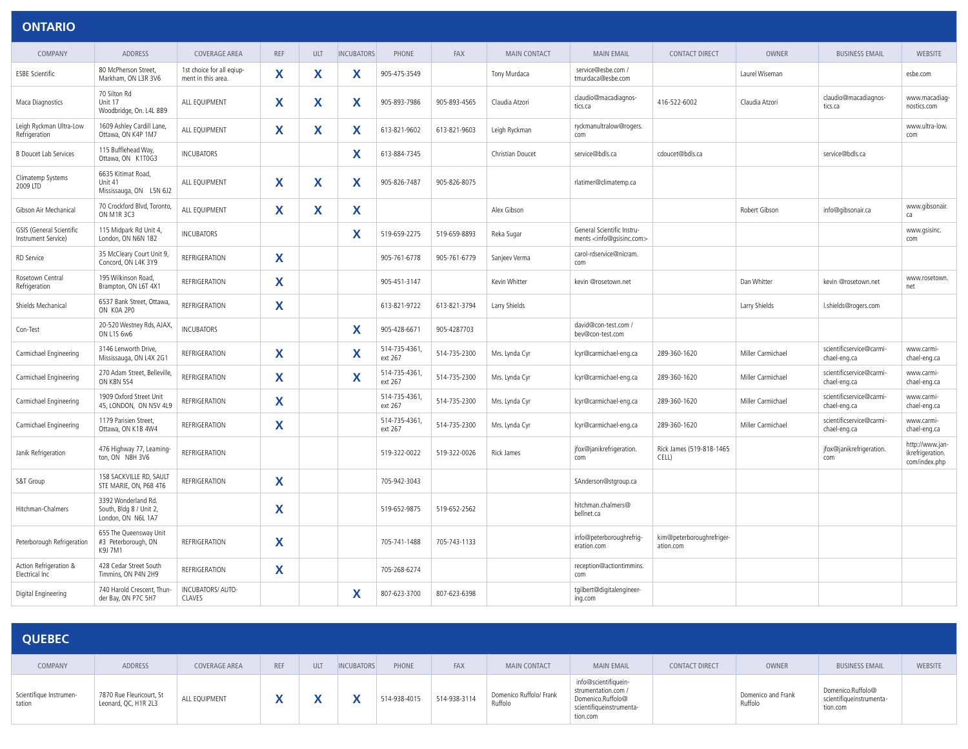| <b>ONTARIO</b>                                         |                                                                      |                                                 |            |            |                   |                          |              |                     |                                                                           |                                        |                   |                                          |                                                      |
|--------------------------------------------------------|----------------------------------------------------------------------|-------------------------------------------------|------------|------------|-------------------|--------------------------|--------------|---------------------|---------------------------------------------------------------------------|----------------------------------------|-------------------|------------------------------------------|------------------------------------------------------|
| COMPANY                                                | <b>ADDRESS</b>                                                       | <b>COVERAGE AREA</b>                            | <b>REF</b> | <b>ULT</b> | <b>INCUBATORS</b> | PHONE                    | <b>FAX</b>   | <b>MAIN CONTACT</b> | <b>MAIN EMAIL</b>                                                         | <b>CONTACT DIRECT</b>                  | <b>OWNER</b>      | <b>BUSINESS EMAIL</b>                    | <b>WEBSITE</b>                                       |
| <b>ESBE Scientific</b>                                 | 80 McPherson Street,<br>Markham, ON L3R 3V6                          | 1st choice for all eqiup-<br>ment in this area. | X          | X.         | X                 | 905-475-3549             |              | Tony Murdaca        | service@esbe.com /<br>tmurdaca@esbe.com                                   |                                        | Laurel Wiseman    |                                          | esbe.com                                             |
| Maca Diagnostics                                       | 70 Silton Rd<br>Unit 17<br>Woodbridge, On. L4L 8B9                   | ALL EQUIPMENT                                   | X          | X          | X                 | 905-893-7986             | 905-893-4565 | Claudia Atzori      | claudio@macadiagnos-<br>tics.ca                                           | 416-522-6002                           | Claudia Atzori    | claudio@macadiagnos-<br>tics.ca          | www.macadiag-<br>nostics.com                         |
| Leigh Ryckman Ultra-Low<br>Refrigeration               | 1609 Ashley Cardill Lane,<br>Ottawa, ON K4P 1M7                      | ALL EQUIPMENT                                   | X          | X          | X                 | 613-821-9602             | 613-821-9603 | Leigh Ryckman       | ryckmanultralow@rogers.<br>com                                            |                                        |                   |                                          | www.ultra-low.<br>com                                |
| <b>B Doucet Lab Services</b>                           | 115 Bufflehead Way,<br>Ottawa, ON K1T0G3                             | <b>INCUBATORS</b>                               |            |            | X                 | 613-884-7345             |              | Christian Doucet    | service@bdls.ca                                                           | cdoucet@bdls.ca                        |                   | service@bdls.ca                          |                                                      |
| Climatemp Systems<br>2009 LTD                          | 6635 Kitimat Road,<br>Unit 41<br>Mississauga, ON L5N 6J2             | ALL EQUIPMENT                                   | X          | X          | X                 | 905-826-7487             | 905-826-8075 |                     | rlatimer@climatemp.ca                                                     |                                        |                   |                                          |                                                      |
| Gibson Air Mechanical                                  | 70 Crockford Blvd, Toronto,<br><b>ON M1R 3C3</b>                     | ALL EOUIPMENT                                   | X          | X          | X                 |                          |              | Alex Gibson         |                                                                           |                                        | Robert Gibson     | info@qibsonair.ca                        | www.gibsonair.<br>ca                                 |
| <b>GSIS</b> (General Scientific<br>Instrument Service) | 115 Midpark Rd Unit 4,<br>London, ON N6N 1B2                         | <b>INCUBATORS</b>                               |            |            | X                 | 519-659-2275             | 519-659-8893 | Reka Sugar          | General Scientific Instru-<br>ments <info@qsisinc.com></info@qsisinc.com> |                                        |                   |                                          | www.qsisinc.<br>com                                  |
| <b>RD</b> Service                                      | 35 McCleary Court Unit 9,<br>Concord, ON L4K 3Y9                     | <b>REFRIGERATION</b>                            | X          |            |                   | 905-761-6778             | 905-761-6779 | Sanjeev Verma       | carol-rdservice@nicram.<br>com                                            |                                        |                   |                                          |                                                      |
| Rosetown Central<br>Refrigeration                      | 195 Wilkinson Road.<br>Brampton, ON L6T 4X1                          | <b>REFRIGERATION</b>                            | X          |            |                   | 905-451-3147             |              | Kevin Whitter       | kevin @rosetown.net                                                       |                                        | Dan Whitter       | kevin @rosetown.net                      | www.rosetown.<br>net                                 |
| Shields Mechanical                                     | 6537 Bank Street, Ottawa,<br>ON KOA 2PO                              | <b>REFRIGERATION</b>                            | X          |            |                   | 613-821-9722             | 613-821-3794 | Larry Shields       |                                                                           |                                        | Larry Shields     | l.shields@rogers.com                     |                                                      |
| Con-Test                                               | 20-520 Westney Rds, AJAX,<br>ON L1S 6w6                              | <b>INCUBATORS</b>                               |            |            | X                 | 905-428-6671             | 905-4287703  |                     | david@con-test.com /<br>bev@con-test.com                                  |                                        |                   |                                          |                                                      |
| Carmichael Engineering                                 | 3146 Lenworth Drive,<br>Mississauga, ON L4X 2G1                      | <b>REFRIGERATION</b>                            | X          |            | X                 | 514-735-4361,<br>ext 267 | 514-735-2300 | Mrs. Lynda Cyr      | lcyr@carmichael-eng.ca                                                    | 289-360-1620                           | Miller Carmichael | scientificservice@carmi-<br>chael-eng.ca | www.carmi-<br>chael-eng.ca                           |
| Carmichael Engineering                                 | 270 Adam Street, Belleville,<br><b>ON K8N 5S4</b>                    | <b>REFRIGERATION</b>                            | X          |            | X                 | 514-735-4361,<br>ext 267 | 514-735-2300 | Mrs. Lynda Cyr      | lcyr@carmichael-eng.ca                                                    | 289-360-1620                           | Miller Carmichael | scientificservice@carmi-<br>chael-eng.ca | www.carmi-<br>chael-eng.ca                           |
| Carmichael Engineering                                 | 1909 Oxford Street Unit<br>45, LONDON, ON N5V 4L9                    | <b>REFRIGERATION</b>                            | X          |            |                   | 514-735-4361,<br>ext 267 | 514-735-2300 | Mrs. Lynda Cyr      | lcyr@carmichael-eng.ca                                                    | 289-360-1620                           | Miller Carmichael | scientificservice@carmi-<br>chael-eng.ca | www.carmi-<br>chael-eng.ca                           |
| Carmichael Engineering                                 | 1179 Parisien Street,<br>Ottawa, ON K1B 4W4                          | <b>REFRIGERATION</b>                            | X          |            |                   | 514-735-4361,<br>ext 267 | 514-735-2300 | Mrs. Lynda Cyr      | lcyr@carmichael-eng.ca                                                    | 289-360-1620                           | Miller Carmichael | scientificservice@carmi-<br>chael-eng.ca | www.carmi-<br>chael-eng.ca                           |
| Janik Refrigeration                                    | 476 Highway 77, Leaming-<br>ton, ON N8H 3V6                          | REFRIGERATION                                   |            |            |                   | 519-322-0022             | 519-322-0026 | Rick James          | jfox@janikrefrigeration.<br>com                                           | Rick James (519-818-1465<br>CELL)      |                   | jfox@janikrefrigeration.<br>com          | http://www.jan-<br>ikrefrigeration.<br>com/index.php |
| S&T Group                                              | 158 SACKVILLE RD, SAULT<br>STE MARIE, ON, P6B 4T6                    | <b>REFRIGERATION</b>                            | X          |            |                   | 705-942-3043             |              |                     | SAnderson@stgroup.ca                                                      |                                        |                   |                                          |                                                      |
| Hitchman-Chalmers                                      | 3392 Wonderland Rd.<br>South, Bldg 8 / Unit 2,<br>London, ON N6L 1A7 |                                                 | X          |            |                   | 519-652-9875             | 519-652-2562 |                     | hitchman.chalmers@<br>bellnet.ca                                          |                                        |                   |                                          |                                                      |
| Peterborough Refrigeration                             | 655 The Queensway Unit<br>#3 Peterborough, ON<br>K9J 7M1             | <b>REFRIGERATION</b>                            | X          |            |                   | 705-741-1488             | 705-743-1133 |                     | info@peterboroughrefrig-<br>eration.com                                   | kim@peterboroughrefriger-<br>ation.com |                   |                                          |                                                      |
| Action Refrigeration &<br>Electrical Inc               | 428 Cedar Street South<br>Timmins, ON P4N 2H9                        | <b>REFRIGERATION</b>                            | X          |            |                   | 705-268-6274             |              |                     | reception@actiontimmins.<br>com                                           |                                        |                   |                                          |                                                      |
| Digital Engineering                                    | 740 Harold Crescent, Thun-<br>der Bay, ON P7C 5H7                    | INCUBATORS/ AUTO-<br>CLAVES                     |            |            | X                 | 807-623-3700             | 807-623-6398 |                     | tgilbert@digitalengineer-<br>ing.com                                      |                                        |                   |                                          |                                                      |

| <b>QUEBEC</b>                     |                                                  |               |            |     |                   |              |              |                                    |                                                                                                          |                       |                               |                                                           |                |
|-----------------------------------|--------------------------------------------------|---------------|------------|-----|-------------------|--------------|--------------|------------------------------------|----------------------------------------------------------------------------------------------------------|-----------------------|-------------------------------|-----------------------------------------------------------|----------------|
| COMPANY                           | ADDRESS                                          | COVERAGE AREA | <b>REF</b> | ULT | <b>INCUBATORS</b> | PHONE        | FAX          | <b>MAIN CONTACT</b>                | <b>MAIN EMAIL</b>                                                                                        | <b>CONTACT DIRECT</b> | OWNER                         | <b>BUSINESS EMAIL</b>                                     | <b>WEBSITE</b> |
| Scientifique Instrumen-<br>tation | 7870 Rue Fleuricourt, St<br>Leonard, QC, H1R 2L3 | ALL EQUIPMENT |            |     |                   | 514-938-4015 | 514-938-3114 | Domenico Ruffolo/ Frank<br>Ruffolo | info@scientifiquein-<br>strumentation.com /<br>Domenico.Ruffolo@<br>scientifiqueinstrumenta-<br>tion.com |                       | Domenico and Frank<br>Ruffolo | Domenico.Ruffolo@<br>scientifiqueinstrumenta-<br>tion.com |                |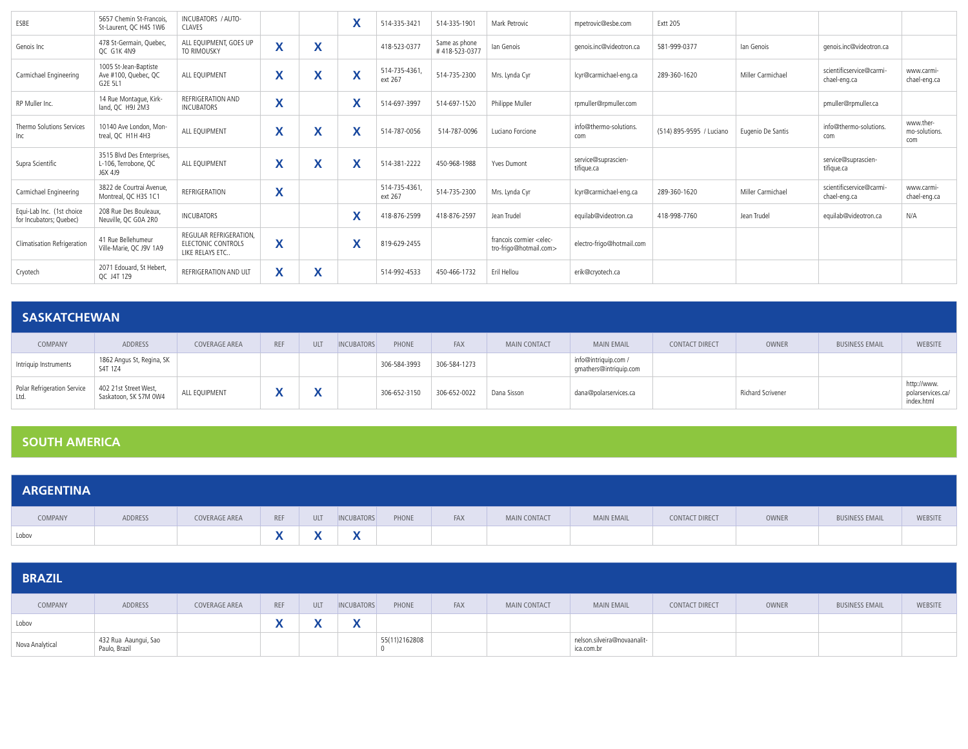| ESBE                                                 | 5657 Chemin St-Francois<br>St-Laurent, OC H4S 1W6             | INCUBATORS / AUTO-<br>CLAVES                                           |                              |                                                       | $\checkmark$<br>$\mathbf{A}$           | 514-335-3421             | 514-335-1901                   | Mark Petrovic                                                   | mpetrovic@esbe.com                | <b>Extt 205</b>          |                   |                                          |                                   |
|------------------------------------------------------|---------------------------------------------------------------|------------------------------------------------------------------------|------------------------------|-------------------------------------------------------|----------------------------------------|--------------------------|--------------------------------|-----------------------------------------------------------------|-----------------------------------|--------------------------|-------------------|------------------------------------------|-----------------------------------|
| Genois Inc                                           | 478 St-Germain, Quebec,<br>OC G1K 4N9                         | ALL EOUIPMENT, GOES UP<br>TO RIMOUSKY                                  | $\mathbf{v}$<br>$\mathbf{v}$ | $\overline{\phantom{a}}$<br>Λ                         |                                        | 418-523-0377             | Same as phone<br>#418-523-0377 | lan Genois                                                      | genois.inc@videotron.ca           | 581-999-0377             | lan Genois        | genois.inc@videotron.ca                  |                                   |
| Carmichael Engineering                               | 1005 St-Jean-Baptiste<br>Ave #100, Quebec, QC<br>G2E 5L1      | ALL EOUIPMENT                                                          | X                            | $\overline{\phantom{a}}$<br>$\boldsymbol{\mathsf{A}}$ | X                                      | 514-735-4361,<br>ext 267 | 514-735-2300                   | Mrs. Lynda Cyr                                                  | lcvr@carmichael-eng.ca            | 289-360-1620             | Miller Carmichael | scientificservice@carmi-<br>chael-eng.ca | www.carmi-<br>chael-eng.ca        |
| RP Muller Inc.                                       | 14 Rue Montaque, Kirk-<br>land, QC H9J 2M3                    | REFRIGERATION AND<br><b>INCUBATORS</b>                                 | $\checkmark$<br>$\lambda$    |                                                       | $\mathbf v$<br>$\boldsymbol{\lambda}$  | 514-697-3997             | 514-697-1520                   | Philippe Muller                                                 | rpmuller@rpmuller.com             |                          |                   | pmuller@rpmuller.ca                      |                                   |
| Thermo Solutions Services<br>Inc                     | 10140 Ave London, Mon-<br>treal, QC H1H 4H3                   | ALL EQUIPMENT                                                          | $\checkmark$<br>⋏            | $\checkmark$<br>Λ                                     | $\checkmark$<br>$\boldsymbol{\Lambda}$ | 514-787-0056             | 514-787-0096                   | Luciano Forcione                                                | info@thermo-solutions.<br>com     | (514) 895-9595 / Luciano | Eugenio De Santis | info@thermo-solutions.<br>com            | www.ther-<br>mo-solutions.<br>com |
| Supra Scientific                                     | 3515 Blvd Des Enterprises,<br>L-106, Terrobone, QC<br>J6X 4J9 | ALL EOUIPMENT                                                          | X                            | X                                                     | X                                      | 514-381-2222             | 450-968-1988                   | Yves Dumont                                                     | service@suprascien-<br>tifique.ca |                          |                   | service@suprascien-<br>tifique.ca        |                                   |
| Carmichael Engineering                               | 3822 de Courtrai Avenue.<br>Montreal, QC H3S 1C1              | REFRIGERATION                                                          | X                            |                                                       |                                        | 514-735-4361,<br>ext 267 | 514-735-2300                   | Mrs. Lynda Cyr                                                  | lcvr@carmichael-eng.ca            | 289-360-1620             | Miller Carmichael | scientificservice@carmi-<br>chael-eng.ca | www.carmi-<br>chael-eng.ca        |
| Equi-Lab Inc. (1st choice<br>for Incubators; Quebec) | 208 Rue Des Bouleaux.<br>Neuville, QC G0A 2R0                 | INCUBATORS                                                             |                              |                                                       | $\mathbf v$<br>Λ                       | 418-876-2599             | 418-876-2597                   | Jean Trudel                                                     | equilab@videotron.ca              | 418-998-7760             | Jean Trudel       | equilab@videotron.ca                     | N/A                               |
| Climatisation Refrigeration                          | 41 Rue Bellehumeur<br>Ville-Marie, QC J9V 1A9                 | REGULAR REFRIGERATION.<br><b>ELECTONIC CONTROLS</b><br>LIKE RELAYS ETC | X                            |                                                       | $\checkmark$<br>$\mathbf{A}$           | 819-629-2455             |                                | francois cormier <elec-<br>tro-frigo@hotmail.com&gt;</elec-<br> | electro-frigo@hotmail.com         |                          |                   |                                          |                                   |
| Cryotech                                             | 2071 Edouard, St Hebert<br>OC J4T 1Z9                         | REFRIGERATION AND ULT                                                  | X                            | v<br>⋏                                                |                                        | 514-992-4533             | 450-466-1732                   | Eril Hellou                                                     | erik@cryotech.ca                  |                          |                   |                                          |                                   |

#### **SASKATCHEWAN**

| COMPANY                             | ADDRESS                                        | COVERAGE AREA | <b>REF</b> | <b>ULT</b>   | INCUBATORS | PHONE        | <b>FAX</b>   | <b>MAIN CONTACT</b> | <b>MAIN EMAIL</b>                              | <b>CONTACT DIRECT</b> | <b>OWNER</b>      | <b>BUSINESS EMAIL</b> | <b>WEBSITE</b>                                 |
|-------------------------------------|------------------------------------------------|---------------|------------|--------------|------------|--------------|--------------|---------------------|------------------------------------------------|-----------------------|-------------------|-----------------------|------------------------------------------------|
| Intriquip Instruments               | 1862 Angus St, Regina, SK<br>S4T 1Z4           |               |            |              |            | 306-584-3993 | 306-584-1273 |                     | info@intriquip.com /<br>qmathers@intriquip.com |                       |                   |                       |                                                |
| Polar Refrigeration Service<br>Ltd. | 402 21st Street West,<br>Saskatoon, SK S7M 0W4 | ALL EQUIPMENT |            | $\mathbf{v}$ |            | 306-652-3150 | 306-652-0022 | Dana Sisson         | dana@polarservices.ca                          |                       | Richard Scrivener |                       | http://www.<br>polarservices.ca/<br>index.html |

#### **SOUTH AMERICA**

| <b>ARGENTINA</b> |         |               |              |     |                   |       |     |                     |                   |                |       |                       |         |
|------------------|---------|---------------|--------------|-----|-------------------|-------|-----|---------------------|-------------------|----------------|-------|-----------------------|---------|
| COMPANY          | ADDRESS | COVERAGE AREA | <b>REF</b>   | ULT | <b>INCUBATORS</b> | PHONE | FAX | <b>MAIN CONTACT</b> | <b>MAIN EMAIL</b> | CONTACT DIRECT | OWNER | <b>BUSINESS EMAIL</b> | WEBSITE |
| Lobov            |         |               | $\mathbf{v}$ |     | $\mathbf{v}$<br>" |       |     |                     |                   |                |       |                       |         |

| <b>BRAZIL</b>   |                                       |               |     |            |                          |               |     |              |                                           |                |       |                       |         |
|-----------------|---------------------------------------|---------------|-----|------------|--------------------------|---------------|-----|--------------|-------------------------------------------|----------------|-------|-----------------------|---------|
| COMPANY         | ADDRESS                               | COVERAGE AREA | REF | <b>ULT</b> | <b>INCUBATORS</b>        | PHONE         | FAX | MAIN CONTACT | <b>MAIN EMAIL</b>                         | CONTACT DIRECT | OWNER | <b>BUSINESS EMAIL</b> | WEBSITE |
| Lobov           |                                       |               |     |            | $\overline{\phantom{a}}$ |               |     |              |                                           |                |       |                       |         |
| Nova Analytical | 432 Rua Aaungui, Sao<br>Paulo, Brazil |               |     |            |                          | 55(11)2162808 |     |              | nelson.silveira@novaanalit-<br>ica.com.br |                |       |                       |         |